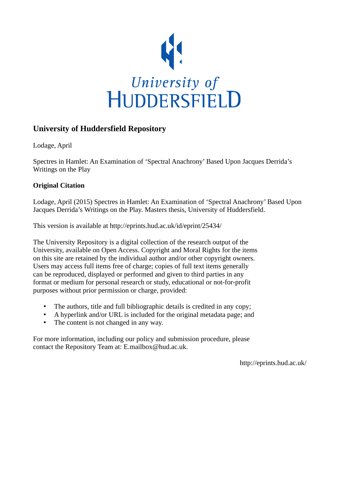

### **University of Huddersfield Repository**

Lodage, April

Spectres in Hamlet: An Examination of 'Spectral Anachrony' Based Upon Jacques Derrida's Writings on the Play

### **Original Citation**

Lodage, April (2015) Spectres in Hamlet: An Examination of 'Spectral Anachrony' Based Upon Jacques Derrida's Writings on the Play. Masters thesis, University of Huddersfield.

This version is available at http://eprints.hud.ac.uk/id/eprint/25434/

The University Repository is a digital collection of the research output of the University, available on Open Access. Copyright and Moral Rights for the items on this site are retained by the individual author and/or other copyright owners. Users may access full items free of charge; copies of full text items generally can be reproduced, displayed or performed and given to third parties in any format or medium for personal research or study, educational or not-for-profit purposes without prior permission or charge, provided:

- The authors, title and full bibliographic details is credited in any copy;
- A hyperlink and/or URL is included for the original metadata page; and
- The content is not changed in any way.

For more information, including our policy and submission procedure, please contact the Repository Team at: E.mailbox@hud.ac.uk.

http://eprints.hud.ac.uk/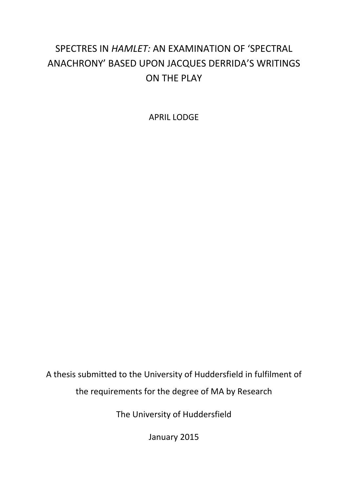# SPECTRES IN *HAMLET:* AN EXAMINATION OF 'SPECTRAL ANACHRONY' BASED UPON JACQUES DERRIDA'S WRITINGS ON THE PLAY

APRIL LODGE

A thesis submitted to the University of Huddersfield in fulfilment of the requirements for the degree of MA by Research

The University of Huddersfield

January 2015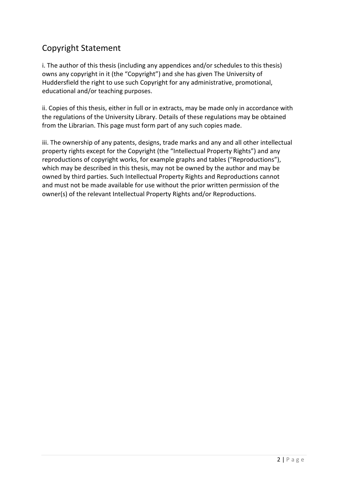## Copyright Statement

i. The author of this thesis (including any appendices and/or schedules to this thesis) owns any copyright in it (the "Copyright") and she has given The University of Huddersfield the right to use such Copyright for any administrative, promotional, educational and/or teaching purposes.

ii. Copies of this thesis, either in full or in extracts, may be made only in accordance with the regulations of the University Library. Details of these regulations may be obtained from the Librarian. This page must form part of any such copies made.

iii. The ownership of any patents, designs, trade marks and any and all other intellectual property rights except for the Copyright (the "Intellectual Property Rights") and any reproductions of copyright works, for example graphs and tables ("Reproductions"), which may be described in this thesis, may not be owned by the author and may be owned by third parties. Such Intellectual Property Rights and Reproductions cannot and must not be made available for use without the prior written permission of the owner(s) of the relevant Intellectual Property Rights and/or Reproductions.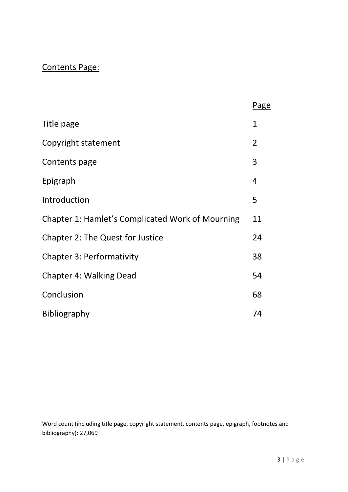# Contents Page:

|                                                  | Page           |
|--------------------------------------------------|----------------|
| Title page                                       | $\mathbf{1}$   |
| Copyright statement                              | $\overline{2}$ |
| Contents page                                    | 3              |
| Epigraph                                         | 4              |
| Introduction                                     | 5              |
| Chapter 1: Hamlet's Complicated Work of Mourning | 11             |
| <b>Chapter 2: The Quest for Justice</b>          | 24             |
| <b>Chapter 3: Performativity</b>                 | 38             |
| <b>Chapter 4: Walking Dead</b>                   | 54             |
| Conclusion                                       | 68             |
| <b>Bibliography</b>                              | 74             |

Word count (including title page, copyright statement, contents page, epigraph, footnotes and bibliography): 27,069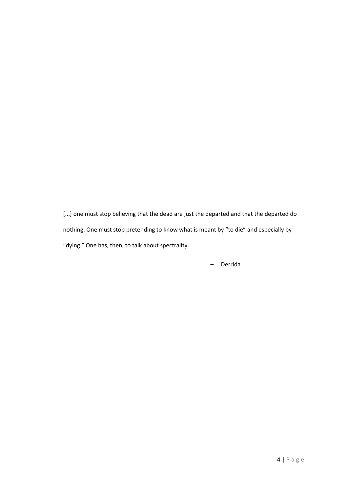[...] one must stop believing that the dead are just the departed and that the departed do nothing. One must stop pretending to know what is meant by "to die" and especially by "dying." One has, then, to talk about spectrality.

– Derrida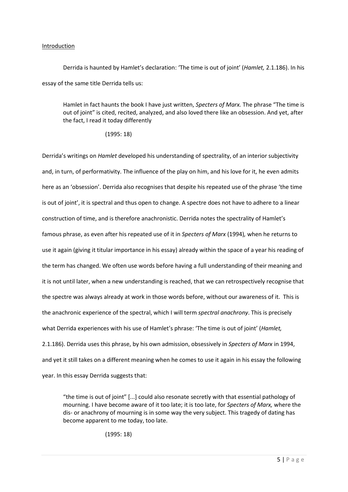#### Introduction

Derrida is haunted by Hamlet's declaration: 'The time is out of joint' (*Hamlet,* 2.1.186). In his essay of the same title Derrida tells us:

Hamlet in fact haunts the book I have just written, *Specters of Marx.* The phrase "The time is out of joint" is cited, recited, analyzed, and also loved there like an obsession. And yet, after the fact, I read it today differently

(1995: 18)

Derrida's writings on *Hamlet* developed his understanding of spectrality, of an interior subjectivity and, in turn, of performativity. The influence of the play on him, and his love for it, he even admits here as an 'obsession'. Derrida also recognises that despite his repeated use of the phrase 'the time is out of joint', it is spectral and thus open to change. A spectre does not have to adhere to a linear construction of time, and is therefore anachronistic. Derrida notes the spectrality of Hamlet's famous phrase, as even after his repeated use of it in *Specters of Marx* (1994)*,* when he returns to use it again (giving it titular importance in his essay) already within the space of a year his reading of the term has changed. We often use words before having a full understanding of their meaning and it is not until later, when a new understanding is reached, that we can retrospectively recognise that the spectre was always already at work in those words before, without our awareness of it. This is the anachronic experience of the spectral, which I will term *spectral anachrony*. This is precisely what Derrida experiences with his use of Hamlet's phrase: 'The time is out of joint' (*Hamlet,*  2.1.186). Derrida uses this phrase, by his own admission, obsessively in *Specters of Marx* in 1994, and yet it still takes on a different meaning when he comes to use it again in his essay the following year. In this essay Derrida suggests that:

"the time is out of joint" [...] could also resonate secretly with that essential pathology of mourning. I have become aware of it too late; it is too late, for *Specters of Marx,* where the dis- or anachrony of mourning is in some way the very subject. This tragedy of dating has become apparent to me today, too late.

(1995: 18)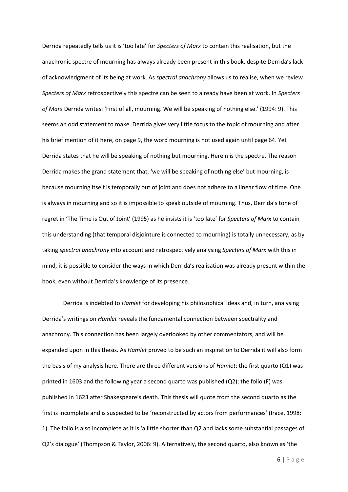Derrida repeatedly tells us it is 'too late' for *Specters of Marx* to contain this realisation, but the anachronic spectre of mourning has always already been present in this book, despite Derrida's lack of acknowledgment of its being at work. As *spectral anachrony* allows us to realise, when we review *Specters of Marx* retrospectively this spectre can be seen to already have been at work. In *Specters of Marx* Derrida writes: 'First of all, mourning. We will be speaking of nothing else.' (1994: 9). This seems an odd statement to make. Derrida gives very little focus to the topic of mourning and after his brief mention of it here, on page 9, the word mourning is not used again until page 64. Yet Derrida states that he will be speaking of nothing but mourning. Herein is the spectre. The reason Derrida makes the grand statement that, 'we will be speaking of nothing else' but mourning, is because mourning itself is temporally out of joint and does not adhere to a linear flow of time. One is always in mourning and so it is impossible to speak outside of mourning. Thus, Derrida's tone of regret in 'The Time is Out of Joint' (1995) as he insists it is 'too late' for *Specters of Marx* to contain this understanding (that temporal disjointure is connected to mourning) is totally unnecessary, as by taking *spectral anachrony* into account and retrospectively analysing *Specters of Marx* with this in mind, it is possible to consider the ways in which Derrida's realisation was already present within the book, even without Derrida's knowledge of its presence.

Derrida is indebted to *Hamlet* for developing his philosophical ideas and, in turn, analysing Derrida's writings on *Hamlet* reveals the fundamental connection between spectrality and anachrony. This connection has been largely overlooked by other commentators, and will be expanded upon in this thesis. As *Hamlet* proved to be such an inspiration to Derrida it will also form the basis of my analysis here. There are three different versions of *Hamlet*: the first quarto (Q1) was printed in 1603 and the following year a second quarto was published (Q2); the folio (F) was published in 1623 after Shakespeare's death. This thesis will quote from the second quarto as the first is incomplete and is suspected to be 'reconstructed by actors from performances' (Irace, 1998: 1). The folio is also incomplete as it is 'a little shorter than Q2 and lacks some substantial passages of Q2's dialogue' (Thompson & Taylor, 2006: 9). Alternatively, the second quarto, also known as 'the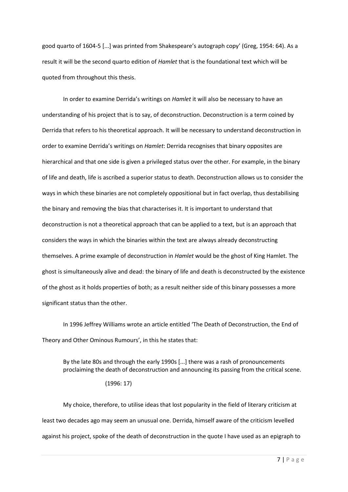good quarto of 1604-5 [...] was printed from Shakespeare's autograph copy' (Greg, 1954: 64). As a result it will be the second quarto edition of *Hamlet* that is the foundational text which will be quoted from throughout this thesis.

In order to examine Derrida's writings on *Hamlet* it will also be necessary to have an understanding of his project that is to say, of deconstruction. Deconstruction is a term coined by Derrida that refers to his theoretical approach. It will be necessary to understand deconstruction in order to examine Derrida's writings on *Hamlet*: Derrida recognises that binary opposites are hierarchical and that one side is given a privileged status over the other. For example, in the binary of life and death, life is ascribed a superior status to death. Deconstruction allows us to consider the ways in which these binaries are not completely oppositional but in fact overlap, thus destabilising the binary and removing the bias that characterises it. It is important to understand that deconstruction is not a theoretical approach that can be applied to a text, but is an approach that considers the ways in which the binaries within the text are always already deconstructing themselves. A prime example of deconstruction in *Hamlet* would be the ghost of King Hamlet. The ghost is simultaneously alive and dead: the binary of life and death is deconstructed by the existence of the ghost as it holds properties of both; as a result neither side of this binary possesses a more significant status than the other.

In 1996 Jeffrey Williams wrote an article entitled 'The Death of Deconstruction, the End of Theory and Other Ominous Rumours', in this he states that:

By the late 80s and through the early 1990s [...] there was a rash of pronouncements proclaiming the death of deconstruction and announcing its passing from the critical scene.

#### (1996: 17)

My choice, therefore, to utilise ideas that lost popularity in the field of literary criticism at least two decades ago may seem an unusual one. Derrida, himself aware of the criticism levelled against his project, spoke of the death of deconstruction in the quote I have used as an epigraph to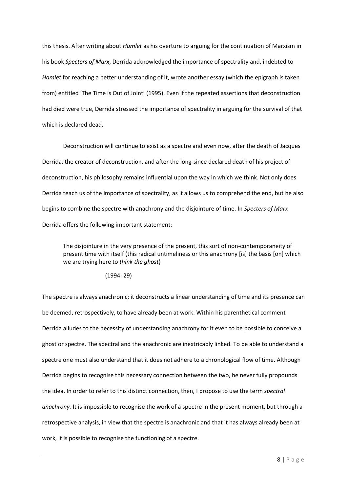this thesis. After writing about *Hamlet* as his overture to arguing for the continuation of Marxism in his book *Specters of Marx*, Derrida acknowledged the importance of spectrality and, indebted to *Hamlet* for reaching a better understanding of it, wrote another essay (which the epigraph is taken from) entitled 'The Time is Out of Joint' (1995). Even if the repeated assertions that deconstruction had died were true, Derrida stressed the importance of spectrality in arguing for the survival of that which is declared dead.

Deconstruction will continue to exist as a spectre and even now, after the death of Jacques Derrida, the creator of deconstruction, and after the long-since declared death of his project of deconstruction, his philosophy remains influential upon the way in which we think. Not only does Derrida teach us of the importance of spectrality, as it allows us to comprehend the end, but he also begins to combine the spectre with anachrony and the disjointure of time. In *Specters of Marx*  Derrida offers the following important statement:

The disjointure in the very presence of the present, this sort of non-contemporaneity of present time with itself (this radical untimeliness or this anachrony [is] the basis [on] which we are trying here to *think the ghost*)

#### (1994: 29)

The spectre is always anachronic; it deconstructs a linear understanding of time and its presence can be deemed, retrospectively, to have already been at work. Within his parenthetical comment Derrida alludes to the necessity of understanding anachrony for it even to be possible to conceive a ghost or spectre. The spectral and the anachronic are inextricably linked. To be able to understand a spectre one must also understand that it does not adhere to a chronological flow of time. Although Derrida begins to recognise this necessary connection between the two, he never fully propounds the idea. In order to refer to this distinct connection, then, I propose to use the term *spectral anachrony.* It is impossible to recognise the work of a spectre in the present moment, but through a retrospective analysis, in view that the spectre is anachronic and that it has always already been at work, it is possible to recognise the functioning of a spectre.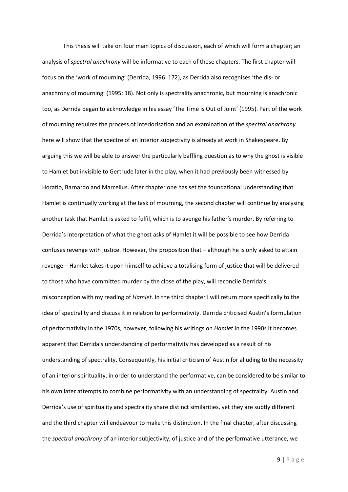This thesis will take on four main topics of discussion, each of which will form a chapter; an analysis of *spectral anachrony* will be informative to each of these chapters. The first chapter will focus on the 'work of mourning' (Derrida, 1996: 172), as Derrida also recognises 'the dis- or anachrony of mourning' (1995: 18). Not only is spectrality anachronic, but mourning is anachronic too, as Derrida began to acknowledge in his essay 'The Time is Out of Joint' (1995). Part of the work of mourning requires the process of interiorisation and an examination of the *spectral anachrony*  here will show that the spectre of an interior subjectivity is already at work in Shakespeare. By arguing this we will be able to answer the particularly baffling question as to why the ghost is visible to Hamlet but invisible to Gertrude later in the play, when it had previously been witnessed by Horatio, Barnardo and Marcellus. After chapter one has set the foundational understanding that Hamlet is continually working at the task of mourning, the second chapter will continue by analysing another task that Hamlet is asked to fulfil, which is to avenge his father's murder. By referring to Derrida's interpretation of what the ghost asks of Hamlet it will be possible to see how Derrida confuses revenge with justice. However, the proposition that – although he is only asked to attain revenge – Hamlet takes it upon himself to achieve a totalising form of justice that will be delivered to those who have committed murder by the close of the play, will reconcile Derrida's misconception with my reading of *Hamlet.* In the third chapter I will return more specifically to the idea of spectrality and discuss it in relation to performativity. Derrida criticised Austin's formulation of performativity in the 1970s, however, following his writings on *Hamlet* in the 1990s it becomes apparent that Derrida's understanding of performativity has developed as a result of his understanding of spectrality. Consequently, his initial criticism of Austin for alluding to the necessity of an interior spirituality, in order to understand the performative, can be considered to be similar to his own later attempts to combine performativity with an understanding of spectrality. Austin and Derrida's use of spirituality and spectrality share distinct similarities, yet they are subtly different and the third chapter will endeavour to make this distinction. In the final chapter, after discussing the *spectral anachrony* of an interior subjectivity, of justice and of the performative utterance, we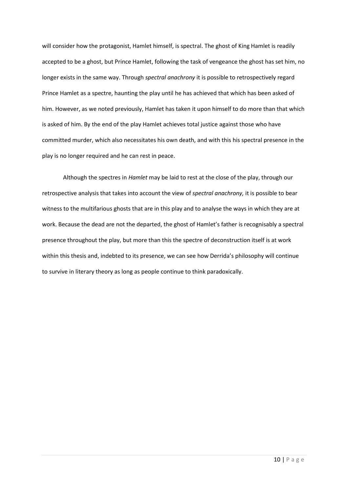will consider how the protagonist, Hamlet himself, is spectral. The ghost of King Hamlet is readily accepted to be a ghost, but Prince Hamlet, following the task of vengeance the ghost has set him, no longer exists in the same way. Through *spectral anachrony* it is possible to retrospectively regard Prince Hamlet as a spectre, haunting the play until he has achieved that which has been asked of him. However, as we noted previously, Hamlet has taken it upon himself to do more than that which is asked of him. By the end of the play Hamlet achieves total justice against those who have committed murder, which also necessitates his own death, and with this his spectral presence in the play is no longer required and he can rest in peace.

Although the spectres in *Hamlet* may be laid to rest at the close of the play, through our retrospective analysis that takes into account the view of *spectral anachrony,* it is possible to bear witness to the multifarious ghosts that are in this play and to analyse the ways in which they are at work. Because the dead are not the departed, the ghost of Hamlet's father is recognisably a spectral presence throughout the play, but more than this the spectre of deconstruction itself is at work within this thesis and, indebted to its presence, we can see how Derrida's philosophy will continue to survive in literary theory as long as people continue to think paradoxically.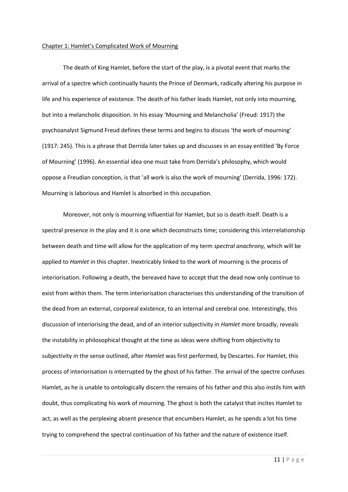#### Chapter 1: Hamlet's Complicated Work of Mourning

The death of King Hamlet, before the start of the play, is a pivotal event that marks the arrival of a spectre which continually haunts the Prince of Denmark, radically altering his purpose in life and his experience of existence. The death of his father leads Hamlet, not only into mourning, but into a melancholic disposition. In his essay 'Mourning and Melancholia' (Freud: 1917) the psychoanalyst Sigmund Freud defines these terms and begins to discuss 'the work of mourning' (1917: 245). This is a phrase that Derrida later takes up and discusses in an essay entitled 'By Force of Mourning' (1996). An essential idea one must take from Derrida's philosophy, which would oppose a Freudian conception, is that 'all work is also the work of mourning' (Derrida, 1996: 172). Mourning is laborious and Hamlet is absorbed in this occupation.

Moreover, not only is mourning influential for Hamlet, but so is death itself. Death is a spectral presence in the play and it is one which deconstructs time; considering this interrelationship between death and time will allow for the application of my term *spectral anachrony,* which will be applied to *Hamlet* in this chapter. Inextricably linked to the work of mourning is the process of interiorisation. Following a death, the bereaved have to accept that the dead now only continue to exist from within them. The term interiorisation characterises this understanding of the transition of the dead from an external, corporeal existence, to an internal and cerebral one. Interestingly, this discussion of interiorising the dead, and of an interior subjectivity in *Hamlet* more broadly, reveals the instability in philosophical thought at the time as ideas were shifting from objectivity to subjectivity in the sense outlined, after *Hamlet* was first performed, by Descartes. For Hamlet, this process of interiorisation is interrupted by the ghost of his father. The arrival of the spectre confuses Hamlet, as he is unable to ontologically discern the remains of his father and this also instils him with doubt, thus complicating his work of mourning. The ghost is both the catalyst that incites Hamlet to act, as well as the perplexing absent presence that encumbers Hamlet, as he spends a lot his time trying to comprehend the spectral continuation of his father and the nature of existence itself.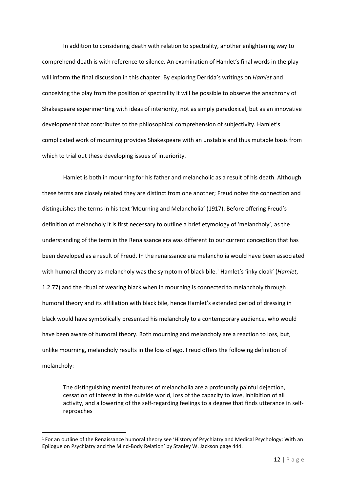In addition to considering death with relation to spectrality, another enlightening way to comprehend death is with reference to silence. An examination of Hamlet's final words in the play will inform the final discussion in this chapter. By exploring Derrida's writings on *Hamlet* and conceiving the play from the position of spectrality it will be possible to observe the anachrony of Shakespeare experimenting with ideas of interiority, not as simply paradoxical, but as an innovative development that contributes to the philosophical comprehension of subjectivity. Hamlet's complicated work of mourning provides Shakespeare with an unstable and thus mutable basis from which to trial out these developing issues of interiority.

Hamlet is both in mourning for his father and melancholic as a result of his death. Although these terms are closely related they are distinct from one another; Freud notes the connection and distinguishes the terms in his text 'Mourning and Melancholia' (1917). Before offering Freud's definition of melancholy it is first necessary to outline a brief etymology of 'melancholy', as the understanding of the term in the Renaissance era was different to our current conception that has been developed as a result of Freud. In the renaissance era melancholia would have been associated with humoral theory as melancholy was the symptom of black bile.<sup>1</sup> Hamlet's 'inky cloak' (*Hamlet*, 1.2.77) and the ritual of wearing black when in mourning is connected to melancholy through humoral theory and its affiliation with black bile, hence Hamlet's extended period of dressing in black would have symbolically presented his melancholy to a contemporary audience, who would have been aware of humoral theory. Both mourning and melancholy are a reaction to loss, but, unlike mourning, melancholy results in the loss of ego. Freud offers the following definition of melancholy:

The distinguishing mental features of melancholia are a profoundly painful dejection, cessation of interest in the outside world, loss of the capacity to love, inhibition of all activity, and a lowering of the self-regarding feelings to a degree that finds utterance in selfreproaches

**.** 

<sup>1</sup> For an outline of the Renaissance humoral theory see 'History of Psychiatry and Medical Psychology: With an Epilogue on Psychiatry and the Mind-Body Relation' by Stanley W. Jackson page 444.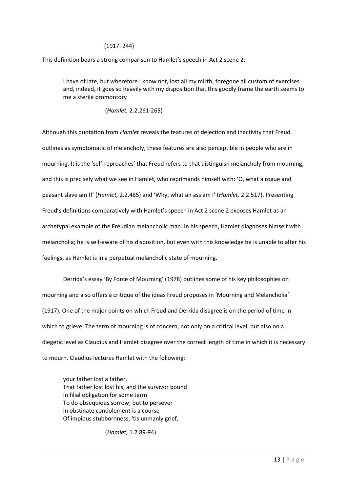#### (1917: 244)

This definition bears a strong comparison to Hamlet's speech in Act 2 scene 2:

I have of late, but wherefore I know not, lost all my mirth, foregone all custom of exercises and, indeed, it goes so heavily with my disposition that this goodly frame the earth seems to me a sterile promontory

(*Hamlet,* 2.2.261-265)

Although this quotation from *Hamlet* reveals the features of dejection and inactivity that Freud outlines as symptomatic of melancholy, these features are also perceptible in people who are in mourning. It is the 'self-reproaches' that Freud refers to that distinguish melancholy from mourning, and this is precisely what we see in Hamlet, who reprimands himself with: 'O, what a rogue and peasant slave am I!' (*Hamlet,* 2.2.485) and 'Why, what an ass am I' (*Hamlet,* 2.2.517). Presenting Freud's definitions comparatively with Hamlet's speech in Act 2 scene 2 exposes Hamlet as an archetypal example of the Freudian melancholic man. In his speech, Hamlet diagnoses himself with melancholia; he is self-aware of his disposition, but even with this knowledge he is unable to alter his feelings, as Hamlet is in a perpetual melancholic state of mourning.

Derrida's essay 'By Force of Mourning' (1978) outlines some of his key philosophies on mourning and also offers a critique of the ideas Freud proposes in 'Mourning and Melancholia' (1917). One of the major points on which Freud and Derrida disagree is on the period of time in which to grieve. The term of mourning is of concern, not only on a critical level, but also on a diegetic level as Claudius and Hamlet disagree over the correct length of time in which it is necessary to mourn. Claudius lectures Hamlet with the following:

your father lost a father, That father lost lost his, and the survivor bound In filial obligation for some term To do obsequious sorrow; but to persever In obstinate condolement is a course Of impious stubbornness, 'tis unmanly grief,

(*Hamlet,* 1.2.89-94)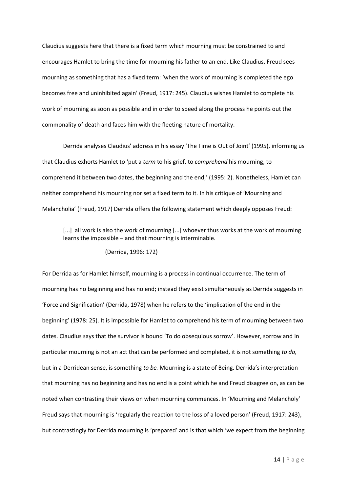Claudius suggests here that there is a fixed term which mourning must be constrained to and encourages Hamlet to bring the time for mourning his father to an end. Like Claudius, Freud sees mourning as something that has a fixed term: 'when the work of mourning is completed the ego becomes free and uninhibited again' (Freud, 1917: 245). Claudius wishes Hamlet to complete his work of mourning as soon as possible and in order to speed along the process he points out the commonality of death and faces him with the fleeting nature of mortality.

Derrida analyses Claudius' address in his essay 'The Time is Out of Joint' (1995), informing us that Claudius exhorts Hamlet to 'put a *term* to his grief, to *comprehend* his mourning, to comprehend it between two dates, the beginning and the end,' (1995: 2). Nonetheless, Hamlet can neither comprehend his mourning nor set a fixed term to it. In his critique of 'Mourning and Melancholia' (Freud, 1917) Derrida offers the following statement which deeply opposes Freud:

[...] all work is also the work of mourning [...] whoever thus works at the work of mourning learns the impossible – and that mourning is interminable.

#### (Derrida, 1996: 172)

For Derrida as for Hamlet himself, mourning is a process in continual occurrence. The term of mourning has no beginning and has no end; instead they exist simultaneously as Derrida suggests in 'Force and Signification' (Derrida, 1978) when he refers to the 'implication of the end in the beginning' (1978: 25). It is impossible for Hamlet to comprehend his term of mourning between two dates. Claudius says that the survivor is bound 'To do obsequious sorrow'. However, sorrow and in particular mourning is not an act that can be performed and completed, it is not something *to do,* but in a Derridean sense, is something *to be.* Mourning is a state of Being. Derrida's interpretation that mourning has no beginning and has no end is a point which he and Freud disagree on, as can be noted when contrasting their views on when mourning commences. In 'Mourning and Melancholy' Freud says that mourning is 'regularly the reaction to the loss of a loved person' (Freud, 1917: 243), but contrastingly for Derrida mourning is 'prepared' and is that which 'we expect from the beginning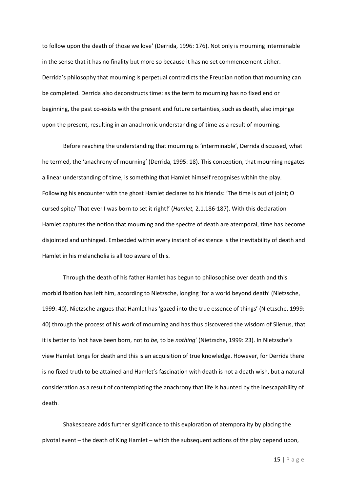to follow upon the death of those we love' (Derrida, 1996: 176). Not only is mourning interminable in the sense that it has no finality but more so because it has no set commencement either. Derrida's philosophy that mourning is perpetual contradicts the Freudian notion that mourning can be completed. Derrida also deconstructs time: as the term to mourning has no fixed end or beginning, the past co-exists with the present and future certainties, such as death, also impinge upon the present, resulting in an anachronic understanding of time as a result of mourning.

Before reaching the understanding that mourning is 'interminable', Derrida discussed, what he termed, the 'anachrony of mourning' (Derrida, 1995: 18). This conception, that mourning negates a linear understanding of time, is something that Hamlet himself recognises within the play. Following his encounter with the ghost Hamlet declares to his friends: 'The time is out of joint; O cursed spite/ That ever I was born to set it right!' (*Hamlet,* 2.1.186-187). With this declaration Hamlet captures the notion that mourning and the spectre of death are atemporal, time has become disjointed and unhinged. Embedded within every instant of existence is the inevitability of death and Hamlet in his melancholia is all too aware of this.

Through the death of his father Hamlet has begun to philosophise over death and this morbid fixation has left him, according to Nietzsche, longing 'for a world beyond death' (Nietzsche, 1999: 40). Nietzsche argues that Hamlet has 'gazed into the true essence of things' (Nietzsche, 1999: 40) through the process of his work of mourning and has thus discovered the wisdom of Silenus, that it is better to 'not have been born, not to *be,* to be *nothing*' (Nietzsche, 1999: 23). In Nietzsche's view Hamlet longs for death and this is an acquisition of true knowledge. However, for Derrida there is no fixed truth to be attained and Hamlet's fascination with death is not a death wish, but a natural consideration as a result of contemplating the anachrony that life is haunted by the inescapability of death.

Shakespeare adds further significance to this exploration of atemporality by placing the pivotal event – the death of King Hamlet – which the subsequent actions of the play depend upon,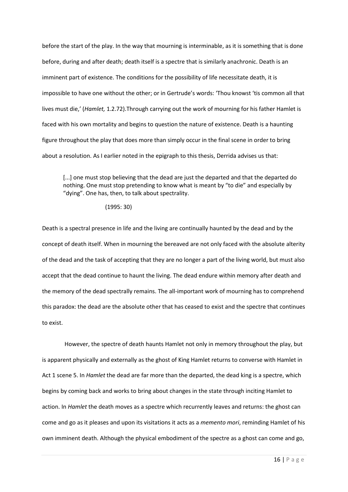before the start of the play. In the way that mourning is interminable, as it is something that is done before, during and after death; death itself is a spectre that is similarly anachronic. Death is an imminent part of existence. The conditions for the possibility of life necessitate death, it is impossible to have one without the other; or in Gertrude's words: 'Thou knowst 'tis common all that lives must die,' (*Hamlet,* 1.2.72).Through carrying out the work of mourning for his father Hamlet is faced with his own mortality and begins to question the nature of existence. Death is a haunting figure throughout the play that does more than simply occur in the final scene in order to bring about a resolution. As I earlier noted in the epigraph to this thesis, Derrida advises us that:

[...] one must stop believing that the dead are just the departed and that the departed do nothing. One must stop pretending to know what is meant by "to die" and especially by "dying". One has, then, to talk about spectrality.

(1995: 30)

Death is a spectral presence in life and the living are continually haunted by the dead and by the concept of death itself. When in mourning the bereaved are not only faced with the absolute alterity of the dead and the task of accepting that they are no longer a part of the living world, but must also accept that the dead continue to haunt the living. The dead endure within memory after death and the memory of the dead spectrally remains. The all-important work of mourning has to comprehend this paradox: the dead are the absolute other that has ceased to exist and the spectre that continues to exist.

However, the spectre of death haunts Hamlet not only in memory throughout the play, but is apparent physically and externally as the ghost of King Hamlet returns to converse with Hamlet in Act 1 scene 5. In *Hamlet* the dead are far more than the departed, the dead king is a spectre, which begins by coming back and works to bring about changes in the state through inciting Hamlet to action. In *Hamlet* the death moves as a spectre which recurrently leaves and returns: the ghost can come and go as it pleases and upon its visitations it acts as a *memento mori*, reminding Hamlet of his own imminent death. Although the physical embodiment of the spectre as a ghost can come and go,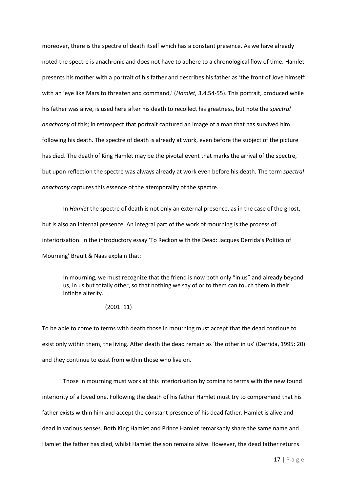moreover, there is the spectre of death itself which has a constant presence. As we have already noted the spectre is anachronic and does not have to adhere to a chronological flow of time. Hamlet presents his mother with a portrait of his father and describes his father as 'the front of Jove himself' with an 'eye like Mars to threaten and command,' (*Hamlet,* 3.4.54-55). This portrait, produced while his father was alive, is used here after his death to recollect his greatness, but note the *spectral anachrony* of this; in retrospect that portrait captured an image of a man that has survived him following his death. The spectre of death is already at work, even before the subject of the picture has died. The death of King Hamlet may be the pivotal event that marks the arrival of the spectre, but upon reflection the spectre was always already at work even before his death. The term *spectral anachrony* captures this essence of the atemporality of the spectre.

In *Hamlet* the spectre of death is not only an external presence, as in the case of the ghost, but is also an internal presence. An integral part of the work of mourning is the process of interiorisation. In the introductory essay 'To Reckon with the Dead: Jacques Derrida's Politics of Mourning' Brault & Naas explain that:

In mourning, we must recognize that the friend is now both only "in us" and already beyond us, in us but totally other, so that nothing we say of or to them can touch them in their infinite alterity.

#### (2001: 11)

To be able to come to terms with death those in mourning must accept that the dead continue to exist only within them, the living. After death the dead remain as 'the other in us' (Derrida, 1995: 20) and they continue to exist from within those who live on.

Those in mourning must work at this interiorisation by coming to terms with the new found interiority of a loved one. Following the death of his father Hamlet must try to comprehend that his father exists within him and accept the constant presence of his dead father. Hamlet is alive and dead in various senses. Both King Hamlet and Prince Hamlet remarkably share the same name and Hamlet the father has died, whilst Hamlet the son remains alive. However, the dead father returns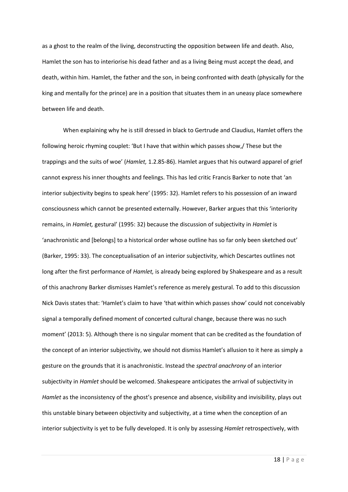as a ghost to the realm of the living, deconstructing the opposition between life and death. Also, Hamlet the son has to interiorise his dead father and as a living Being must accept the dead, and death, within him. Hamlet, the father and the son, in being confronted with death (physically for the king and mentally for the prince) are in a position that situates them in an uneasy place somewhere between life and death.

When explaining why he is still dressed in black to Gertrude and Claudius, Hamlet offers the following heroic rhyming couplet: 'But I have that within which passes show,/ These but the trappings and the suits of woe' (*Hamlet,* 1.2.85-86). Hamlet argues that his outward apparel of grief cannot express his inner thoughts and feelings. This has led critic Francis Barker to note that 'an interior subjectivity begins to speak here' (1995: 32). Hamlet refers to his possession of an inward consciousness which cannot be presented externally. However, Barker argues that this 'interiority remains, in *Hamlet,* gestural' (1995: 32) because the discussion of subjectivity in *Hamlet* is 'anachronistic and [belongs] to a historical order whose outline has so far only been sketched out' (Barker, 1995: 33). The conceptualisation of an interior subjectivity, which Descartes outlines not long after the first performance of *Hamlet,* is already being explored by Shakespeare and as a result of this anachrony Barker dismisses Hamlet's reference as merely gestural. To add to this discussion Nick Davis states that: 'Hamlet's claim to have 'that within which passes show' could not conceivably signal a temporally defined moment of concerted cultural change, because there was no such moment' (2013: 5). Although there is no singular moment that can be credited as the foundation of the concept of an interior subjectivity, we should not dismiss Hamlet's allusion to it here as simply a gesture on the grounds that it is anachronistic. Instead the *spectral anachrony* of an interior subjectivity in *Hamlet* should be welcomed. Shakespeare anticipates the arrival of subjectivity in *Hamlet* as the inconsistency of the ghost's presence and absence, visibility and invisibility, plays out this unstable binary between objectivity and subjectivity, at a time when the conception of an interior subjectivity is yet to be fully developed. It is only by assessing *Hamlet* retrospectively, with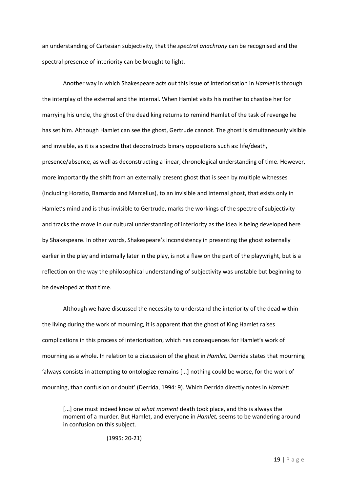an understanding of Cartesian subjectivity, that the *spectral anachrony* can be recognised and the spectral presence of interiority can be brought to light.

Another way in which Shakespeare acts out this issue of interiorisation in *Hamlet* is through the interplay of the external and the internal. When Hamlet visits his mother to chastise her for marrying his uncle, the ghost of the dead king returns to remind Hamlet of the task of revenge he has set him. Although Hamlet can see the ghost, Gertrude cannot. The ghost is simultaneously visible and invisible, as it is a spectre that deconstructs binary oppositions such as: life/death, presence/absence, as well as deconstructing a linear, chronological understanding of time. However, more importantly the shift from an externally present ghost that is seen by multiple witnesses (including Horatio, Barnardo and Marcellus), to an invisible and internal ghost, that exists only in Hamlet's mind and is thus invisible to Gertrude, marks the workings of the spectre of subjectivity and tracks the move in our cultural understanding of interiority as the idea is being developed here by Shakespeare. In other words, Shakespeare's inconsistency in presenting the ghost externally earlier in the play and internally later in the play, is not a flaw on the part of the playwright, but is a reflection on the way the philosophical understanding of subjectivity was unstable but beginning to be developed at that time.

Although we have discussed the necessity to understand the interiority of the dead within the living during the work of mourning, it is apparent that the ghost of King Hamlet raises complications in this process of interiorisation, which has consequences for Hamlet's work of mourning as a whole. In relation to a discussion of the ghost in *Hamlet,* Derrida states that mourning 'always consists in attempting to ontologize remains [...] nothing could be worse, for the work of mourning, than confusion or doubt' (Derrida, 1994: 9). Which Derrida directly notes in *Hamlet*:

[...] one must indeed know *at what moment* death took place, and this is always the moment of a murder. But Hamlet, and everyone in *Hamlet,* seems to be wandering around in confusion on this subject.

(1995: 20-21)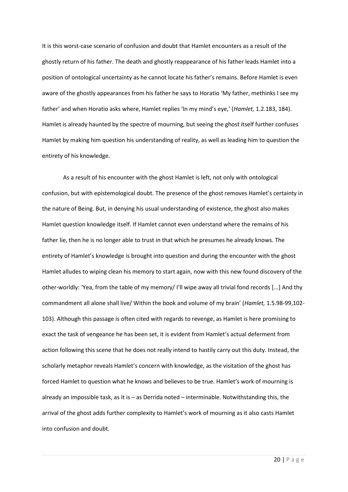It is this worst-case scenario of confusion and doubt that Hamlet encounters as a result of the ghostly return of his father. The death and ghostly reappearance of his father leads Hamlet into a position of ontological uncertainty as he cannot locate his father's remains. Before Hamlet is even aware of the ghostly appearances from his father he says to Horatio 'My father, methinks I see my father' and when Horatio asks where, Hamlet replies 'In my mind's eye,' (*Hamlet,* 1.2.183, 184). Hamlet is already haunted by the spectre of mourning, but seeing the ghost itself further confuses Hamlet by making him question his understanding of reality, as well as leading him to question the entirety of his knowledge.

As a result of his encounter with the ghost Hamlet is left, not only with ontological confusion, but with epistemological doubt. The presence of the ghost removes Hamlet's certainty in the nature of Being. But, in denying his usual understanding of existence, the ghost also makes Hamlet question knowledge itself. If Hamlet cannot even understand where the remains of his father lie, then he is no longer able to trust in that which he presumes he already knows. The entirety of Hamlet's knowledge is brought into question and during the encounter with the ghost Hamlet alludes to wiping clean his memory to start again, now with this new found discovery of the other-worldly: 'Yea, from the table of my memory/ I'll wipe away all trivial fond records [...] And thy commandment all alone shall live/ Within the book and volume of my brain' (*Hamlet,* 1.5.98-99,102- 103). Although this passage is often cited with regards to revenge, as Hamlet is here promising to exact the task of vengeance he has been set, it is evident from Hamlet's actual deferment from action following this scene that he does not really intend to hastily carry out this duty. Instead, the scholarly metaphor reveals Hamlet's concern with knowledge, as the visitation of the ghost has forced Hamlet to question what he knows and believes to be true. Hamlet's work of mourning is already an impossible task, as it is – as Derrida noted – interminable. Notwithstanding this, the arrival of the ghost adds further complexity to Hamlet's work of mourning as it also casts Hamlet into confusion and doubt.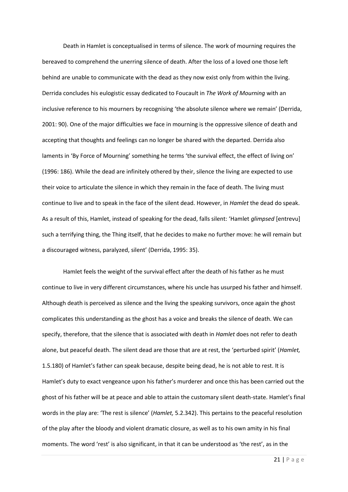Death in Hamlet is conceptualised in terms of silence. The work of mourning requires the bereaved to comprehend the unerring silence of death. After the loss of a loved one those left behind are unable to communicate with the dead as they now exist only from within the living. Derrida concludes his eulogistic essay dedicated to Foucault in *The Work of Mourning* with an inclusive reference to his mourners by recognising 'the absolute silence where we remain' (Derrida, 2001: 90). One of the major difficulties we face in mourning is the oppressive silence of death and accepting that thoughts and feelings can no longer be shared with the departed. Derrida also laments in 'By Force of Mourning' something he terms 'the survival effect, the effect of living on' (1996: 186). While the dead are infinitely othered by their, silence the living are expected to use their voice to articulate the silence in which they remain in the face of death. The living must continue to live and to speak in the face of the silent dead. However, in *Hamlet* the dead do speak. As a result of this, Hamlet, instead of speaking for the dead, falls silent: 'Hamlet *glimpsed* [entrevu] such a terrifying thing, the Thing itself, that he decides to make no further move: he will remain but a discouraged witness, paralyzed, silent' (Derrida, 1995: 35).

Hamlet feels the weight of the survival effect after the death of his father as he must continue to live in very different circumstances, where his uncle has usurped his father and himself. Although death is perceived as silence and the living the speaking survivors, once again the ghost complicates this understanding as the ghost has a voice and breaks the silence of death. We can specify, therefore, that the silence that is associated with death in *Hamlet* does not refer to death alone, but peaceful death. The silent dead are those that are at rest, the 'perturbed spirit' (*Hamlet,*  1.5.180) of Hamlet's father can speak because, despite being dead, he is not able to rest. It is Hamlet's duty to exact vengeance upon his father's murderer and once this has been carried out the ghost of his father will be at peace and able to attain the customary silent death-state. Hamlet's final words in the play are: 'The rest is silence' (*Hamlet,* 5.2.342). This pertains to the peaceful resolution of the play after the bloody and violent dramatic closure, as well as to his own amity in his final moments. The word 'rest' is also significant, in that it can be understood as 'the rest', as in the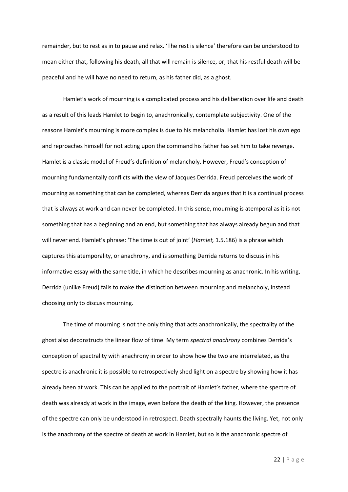remainder, but to rest as in to pause and relax. 'The rest is silence' therefore can be understood to mean either that, following his death, all that will remain is silence, or, that his restful death will be peaceful and he will have no need to return, as his father did, as a ghost.

Hamlet's work of mourning is a complicated process and his deliberation over life and death as a result of this leads Hamlet to begin to, anachronically, contemplate subjectivity. One of the reasons Hamlet's mourning is more complex is due to his melancholia. Hamlet has lost his own ego and reproaches himself for not acting upon the command his father has set him to take revenge. Hamlet is a classic model of Freud's definition of melancholy. However, Freud's conception of mourning fundamentally conflicts with the view of Jacques Derrida. Freud perceives the work of mourning as something that can be completed, whereas Derrida argues that it is a continual process that is always at work and can never be completed. In this sense, mourning is atemporal as it is not something that has a beginning and an end, but something that has always already begun and that will never end. Hamlet's phrase: 'The time is out of joint' (*Hamlet,* 1.5.186) is a phrase which captures this atemporality, or anachrony, and is something Derrida returns to discuss in his informative essay with the same title, in which he describes mourning as anachronic. In his writing, Derrida (unlike Freud) fails to make the distinction between mourning and melancholy, instead choosing only to discuss mourning.

The time of mourning is not the only thing that acts anachronically, the spectrality of the ghost also deconstructs the linear flow of time. My term *spectral anachrony* combines Derrida's conception of spectrality with anachrony in order to show how the two are interrelated, as the spectre is anachronic it is possible to retrospectively shed light on a spectre by showing how it has already been at work. This can be applied to the portrait of Hamlet's father, where the spectre of death was already at work in the image, even before the death of the king. However, the presence of the spectre can only be understood in retrospect. Death spectrally haunts the living. Yet, not only is the anachrony of the spectre of death at work in Hamlet, but so is the anachronic spectre of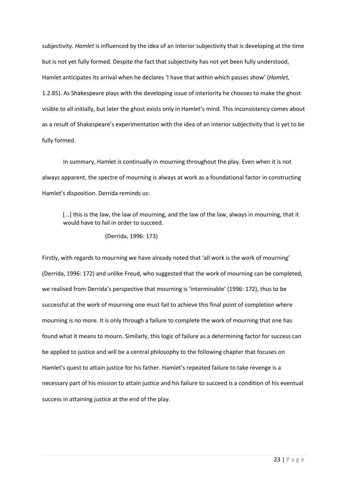subjectivity. *Hamlet* is influenced by the idea of an interior subjectivity that is developing at the time but is not yet fully formed. Despite the fact that subjectivity has not yet been fully understood, Hamlet anticipates its arrival when he declares 'I have that within which passes show' (*Hamlet,*  1.2.85). As Shakespeare plays with the developing issue of interiority he chooses to make the ghost visible to all initially, but later the ghost exists only in Hamlet's mind. This inconsistency comes about as a result of Shakespeare's experimentation with the idea of an interior subjectivity that is yet to be fully formed.

In summary, Hamlet is continually in mourning throughout the play. Even when it is not always apparent, the spectre of mourning is always at work as a foundational factor in constructing Hamlet's disposition. Derrida reminds us:

[...] this is the law, the law of mourning, and the law of the law, always in mourning, that it would have to fail in order to succeed.

(Derrida, 1996: 173)

Firstly, with regards to mourning we have already noted that 'all work is the work of mourning' (Derrida, 1996: 172) and unlike Freud, who suggested that the work of mourning can be completed, we realised from Derrida's perspective that mourning is 'interminable' (1996: 172), thus to be successful at the work of mourning one must fail to achieve this final point of completion where mourning is no more. It is only through a failure to complete the work of mourning that one has found what it means to mourn. Similarly, this logic of failure as a determining factor for success can be applied to justice and will be a central philosophy to the following chapter that focuses on Hamlet's quest to attain justice for his father. Hamlet's repeated failure to take revenge is a necessary part of his mission to attain justice and his failure to succeed is a condition of his eventual success in attaining justice at the end of the play.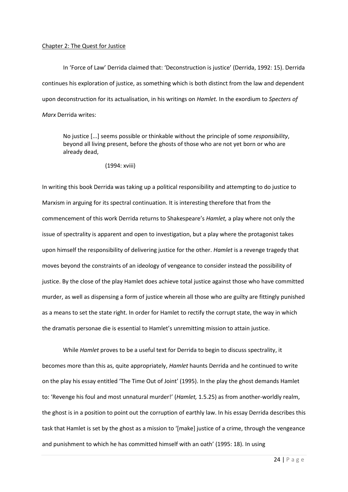#### Chapter 2: The Quest for Justice

In 'Force of Law' Derrida claimed that: 'Deconstruction is justice' (Derrida, 1992: 15). Derrida continues his exploration of justice, as something which is both distinct from the law and dependent upon deconstruction for its actualisation, in his writings on *Hamlet.* In the exordium to *Specters of Marx* Derrida writes:

No justice [...] seems possible or thinkable without the principle of some *responsibility*, beyond all living present, before the ghosts of those who are not yet born or who are already dead,

(1994: xviii)

In writing this book Derrida was taking up a political responsibility and attempting to do justice to Marxism in arguing for its spectral continuation. It is interesting therefore that from the commencement of this work Derrida returns to Shakespeare's *Hamlet,* a play where not only the issue of spectrality is apparent and open to investigation, but a play where the protagonist takes upon himself the responsibility of delivering justice for the other. *Hamlet* is a revenge tragedy that moves beyond the constraints of an ideology of vengeance to consider instead the possibility of justice. By the close of the play Hamlet does achieve total justice against those who have committed murder, as well as dispensing a form of justice wherein all those who are guilty are fittingly punished as a means to set the state right. In order for Hamlet to rectify the corrupt state, the way in which the dramatis personae die is essential to Hamlet's unremitting mission to attain justice.

While *Hamlet* proves to be a useful text for Derrida to begin to discuss spectrality, it becomes more than this as, quite appropriately, *Hamlet* haunts Derrida and he continued to write on the play his essay entitled 'The Time Out of Joint' (1995). In the play the ghost demands Hamlet to: 'Revenge his foul and most unnatural murder!' (*Hamlet,* 1.5.25) as from another-worldly realm, the ghost is in a position to point out the corruption of earthly law. In his essay Derrida describes this task that Hamlet is set by the ghost as a mission to '[make] justice of a crime, through the vengeance and punishment to which he has committed himself with an oath' (1995: 18). In using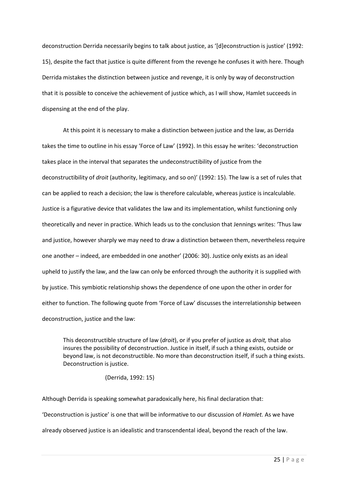deconstruction Derrida necessarily begins to talk about justice, as '[d]econstruction is justice' (1992: 15), despite the fact that justice is quite different from the revenge he confuses it with here. Though Derrida mistakes the distinction between justice and revenge, it is only by way of deconstruction that it is possible to conceive the achievement of justice which, as I will show, Hamlet succeeds in dispensing at the end of the play.

At this point it is necessary to make a distinction between justice and the law, as Derrida takes the time to outline in his essay 'Force of Law' (1992). In this essay he writes: 'deconstruction takes place in the interval that separates the undeconstructibility of justice from the deconstructibility of *droit* (authority, legitimacy, and so on)' (1992: 15). The law is a set of rules that can be applied to reach a decision; the law is therefore calculable, whereas justice is incalculable. Justice is a figurative device that validates the law and its implementation, whilst functioning only theoretically and never in practice. Which leads us to the conclusion that Jennings writes: 'Thus law and justice, however sharply we may need to draw a distinction between them, nevertheless require one another – indeed, are embedded in one another' (2006: 30). Justice only exists as an ideal upheld to justify the law, and the law can only be enforced through the authority it is supplied with by justice. This symbiotic relationship shows the dependence of one upon the other in order for either to function. The following quote from 'Force of Law' discusses the interrelationship between deconstruction, justice and the law:

This deconstructible structure of law (*droit*), or if you prefer of justice as *droit,* that also insures the possibility of deconstruction. Justice in itself, if such a thing exists, outside or beyond law, is not deconstructible. No more than deconstruction itself, if such a thing exists. Deconstruction is justice.

(Derrida, 1992: 15)

Although Derrida is speaking somewhat paradoxically here, his final declaration that: 'Deconstruction is justice' is one that will be informative to our discussion of *Hamlet.* As we have already observed justice is an idealistic and transcendental ideal, beyond the reach of the law.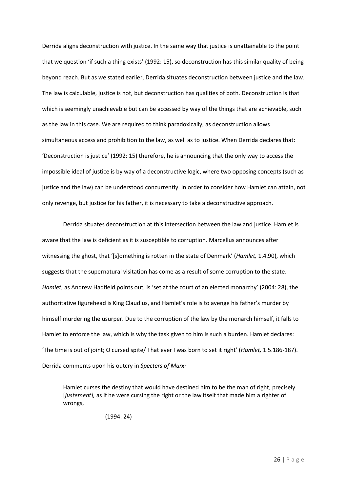Derrida aligns deconstruction with justice. In the same way that justice is unattainable to the point that we question 'if such a thing exists' (1992: 15), so deconstruction has this similar quality of being beyond reach. But as we stated earlier, Derrida situates deconstruction between justice and the law. The law is calculable, justice is not, but deconstruction has qualities of both. Deconstruction is that which is seemingly unachievable but can be accessed by way of the things that are achievable, such as the law in this case. We are required to think paradoxically, as deconstruction allows simultaneous access and prohibition to the law, as well as to justice. When Derrida declares that: 'Deconstruction is justice' (1992: 15) therefore, he is announcing that the only way to access the impossible ideal of justice is by way of a deconstructive logic, where two opposing concepts (such as justice and the law) can be understood concurrently. In order to consider how Hamlet can attain, not only revenge, but justice for his father, it is necessary to take a deconstructive approach.

Derrida situates deconstruction at this intersection between the law and justice. Hamlet is aware that the law is deficient as it is susceptible to corruption. Marcellus announces after witnessing the ghost, that '[s]omething is rotten in the state of Denmark' (*Hamlet,* 1.4.90), which suggests that the supernatural visitation has come as a result of some corruption to the state. *Hamlet*, as Andrew Hadfield points out, is 'set at the court of an elected monarchy' (2004: 28), the authoritative figurehead is King Claudius, and Hamlet's role is to avenge his father's murder by himself murdering the usurper. Due to the corruption of the law by the monarch himself, it falls to Hamlet to enforce the law, which is why the task given to him is such a burden. Hamlet declares: 'The time is out of joint; O cursed spite/ That ever I was born to set it right' (*Hamlet,* 1.5.186-187). Derrida comments upon his outcry in *Specters of Marx:* 

Hamlet curses the destiny that would have destined him to be the man of right, precisely [*justement],* as if he were cursing the right or the law itself that made him a righter of wrongs,

(1994: 24)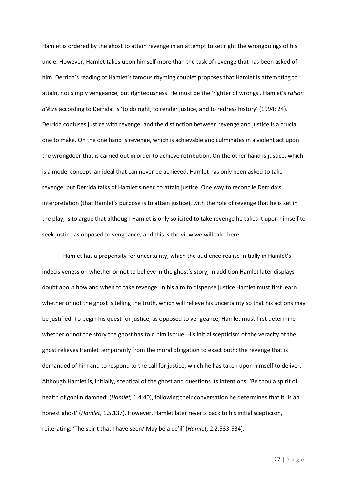Hamlet is ordered by the ghost to attain revenge in an attempt to set right the wrongdoings of his uncle. However, Hamlet takes upon himself more than the task of revenge that has been asked of him. Derrida's reading of Hamlet's famous rhyming couplet proposes that Hamlet is attempting to attain, not simply vengeance, but righteousness. He must be the 'righter of wrongs'. Hamlet's *raison d'être* according to Derrida, is 'to do right, to render justice, and to redress history' (1994: 24). Derrida confuses justice with revenge, and the distinction between revenge and justice is a crucial one to make. On the one hand is revenge, which is achievable and culminates in a violent act upon the wrongdoer that is carried out in order to achieve retribution. On the other hand is justice, which is a model concept, an ideal that can never be achieved. Hamlet has only been asked to take revenge, but Derrida talks of Hamlet's need to attain justice. One way to reconcile Derrida's interpretation (that Hamlet's purpose is to attain justice), with the role of revenge that he is set in the play, is to argue that although Hamlet is only solicited to take revenge he takes it upon himself to seek justice as opposed to vengeance, and this is the view we will take here.

Hamlet has a propensity for uncertainty, which the audience realise initially in Hamlet's indecisiveness on whether or not to believe in the ghost's story, in addition Hamlet later displays doubt about how and when to take revenge. In his aim to dispense justice Hamlet must first learn whether or not the ghost is telling the truth, which will relieve his uncertainty so that his actions may be justified. To begin his quest for justice, as opposed to vengeance, Hamlet must first determine whether or not the story the ghost has told him is true. His initial scepticism of the veracity of the ghost relieves Hamlet temporarily from the moral obligation to exact both: the revenge that is demanded of him and to respond to the call for justice, which he has taken upon himself to deliver. Although Hamlet is, initially, sceptical of the ghost and questions its intentions: 'Be thou a spirit of health of goblin damned' (*Hamlet,* 1.4.40), following their conversation he determines that it 'is an honest ghost' (*Hamlet,* 1.5.137). However, Hamlet later reverts back to his initial scepticism, reiterating: 'The spirit that I have seen/ May be a de'il' (*Hamlet,* 2.2.533-534).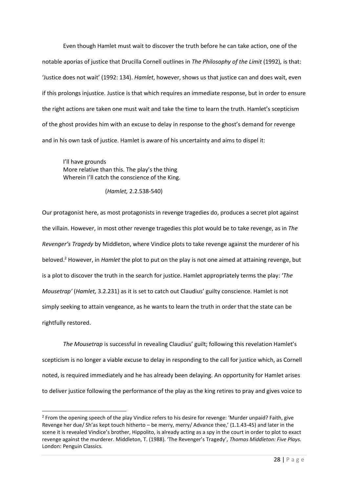Even though Hamlet must wait to discover the truth before he can take action, one of the notable aporias of justice that Drucilla Cornell outlines in *The Philosophy of the Limit* (1992)*,* is that: 'Justice does not wait' (1992: 134). *Hamlet*, however, shows us that justice can and does wait, even if this prolongs injustice. Justice is that which requires an immediate response, but in order to ensure the right actions are taken one must wait and take the time to learn the truth. Hamlet's scepticism of the ghost provides him with an excuse to delay in response to the ghost's demand for revenge and in his own task of justice. Hamlet is aware of his uncertainty and aims to dispel it:

I'll have grounds More relative than this. The play's the thing Wherein I'll catch the conscience of the King.

 $\overline{a}$ 

(*Hamlet,* 2.2.538-540)

Our protagonist here, as most protagonists in revenge tragedies do, produces a secret plot against the villain. However, in most other revenge tragedies this plot would be to take revenge, as in *The Revenger's Tragedy* by Middleton, where Vindice plots to take revenge against the murderer of his beloved.<sup>2</sup> However, in *Hamlet* the plot to put on the play is not one aimed at attaining revenge, but is a plot to discover the truth in the search for justice. Hamlet appropriately terms the play: '*The Mousetrap'* (*Hamlet,* 3.2.231) as it is set to catch out Claudius' guilty conscience. Hamlet is not simply seeking to attain vengeance, as he wants to learn the truth in order that the state can be rightfully restored.

*The Mousetrap* is successful in revealing Claudius' guilt; following this revelation Hamlet's scepticism is no longer a viable excuse to delay in responding to the call for justice which, as Cornell noted, is required immediately and he has already been delaying. An opportunity for Hamlet arises to deliver justice following the performance of the play as the king retires to pray and gives voice to

<sup>&</sup>lt;sup>2</sup> From the opening speech of the play Vindice refers to his desire for revenge: 'Murder unpaid? Faith, give Revenge her due/ Sh'as kept touch hitherto – be merry, merry/ Advance thee,' (1.1.43-45) and later in the scene it is revealed Vindice's brother, Hippolito, is already acting as a spy in the court in order to plot to exact revenge against the murderer. Middleton, T. (1988). 'The Revenger's Tragedy', *Thomas Middleton: Five Plays.*  London: Penguin Classics.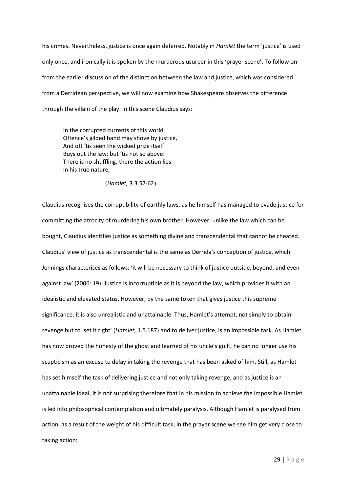his crimes. Nevertheless, justice is once again deferred. Notably in *Hamlet* the term 'justice' is used only once, and ironically it is spoken by the murderous usurper in this 'prayer scene'. To follow on from the earlier discussion of the distinction between the law and justice, which was considered from a Derridean perspective, we will now examine how Shakespeare observes the difference through the villain of the play. In this scene Claudius says:

In the corrupted currents of this world Offence's gilded hand may shove by justice, And oft 'tis seen the wicked prize itself Buys out the law; but 'tis not so above: There is no shuffling, there the action lies In his true nature,

(*Hamlet,* 3.3.57-62)

Claudius recognises the corruptibility of earthly laws, as he himself has managed to evade justice for committing the atrocity of murdering his own brother. However, unlike the law which can be bought, Claudius identifies justice as something divine and transcendental that cannot be cheated. Claudius' view of justice as transcendental is the same as Derrida's conception of justice, which Jennings characterises as follows: 'it will be necessary to think of justice outside, beyond, and even against law' (2006: 19). Justice is incorruptible as it is beyond the law, which provides it with an idealistic and elevated status. However, by the same token that gives justice this supreme significance; it is also unrealistic and unattainable. Thus, Hamlet's attempt, not simply to obtain revenge but to 'set it right' (*Hamlet,* 1.5.187) and to deliver justice, is an impossible task. As Hamlet has now proved the honesty of the ghost and learned of his uncle's guilt, he can no longer use his scepticism as an excuse to delay in taking the revenge that has been asked of him. Still, as Hamlet has set himself the task of delivering justice and not only taking revenge, and as justice is an unattainable ideal, it is not surprising therefore that in his mission to achieve the impossible Hamlet is led into philosophical contemplation and ultimately paralysis. Although Hamlet is paralysed from action, as a result of the weight of his difficult task, in the prayer scene we see him get very close to taking action: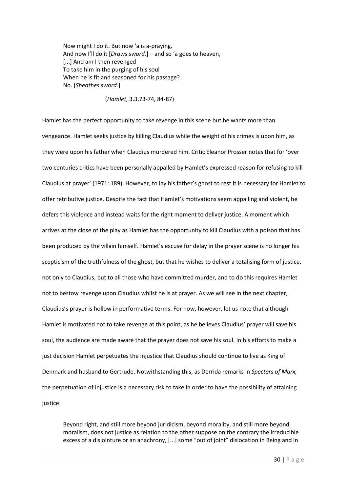Now might I do it. But now 'a is a-praying. And now I'll do it [*Draws sword.*] – and so 'a goes to heaven, [...] And am I then revenged To take him in the purging of his soul When he is fit and seasoned for his passage? No. [*Sheathes sword.*]

(*Hamlet,* 3.3.73-74, 84-87)

Hamlet has the perfect opportunity to take revenge in this scene but he wants more than vengeance. Hamlet seeks justice by killing Claudius while the weight of his crimes is upon him, as they were upon his father when Claudius murdered him. Critic Eleanor Prosser notes that for 'over two centuries critics have been personally appalled by Hamlet's expressed reason for refusing to kill Claudius at prayer' (1971: 189). However, to lay his father's ghost to rest it is necessary for Hamlet to offer retributive justice. Despite the fact that Hamlet's motivations seem appalling and violent, he defers this violence and instead waits for the right moment to deliver justice. A moment which arrives at the close of the play as Hamlet has the opportunity to kill Claudius with a poison that has been produced by the villain himself. Hamlet's excuse for delay in the prayer scene is no longer his scepticism of the truthfulness of the ghost, but that he wishes to deliver a totalising form of justice, not only to Claudius, but to all those who have committed murder, and to do this requires Hamlet not to bestow revenge upon Claudius whilst he is at prayer. As we will see in the next chapter, Claudius's prayer is hollow in performative terms. For now, however, let us note that although Hamlet is motivated not to take revenge at this point, as he believes Claudius' prayer will save his soul, the audience are made aware that the prayer does not save his soul. In his efforts to make a just decision Hamlet perpetuates the injustice that Claudius should continue to live as King of Denmark and husband to Gertrude. Notwithstanding this, as Derrida remarks in *Specters of Marx,*  the perpetuation of injustice is a necessary risk to take in order to have the possibility of attaining justice:

Beyond right, and still more beyond juridicism, beyond morality, and still more beyond moralism, does not justice as relation to the other suppose on the contrary the irreducible excess of a disjointure or an anachrony, [...] some "out of joint" dislocation in Being and in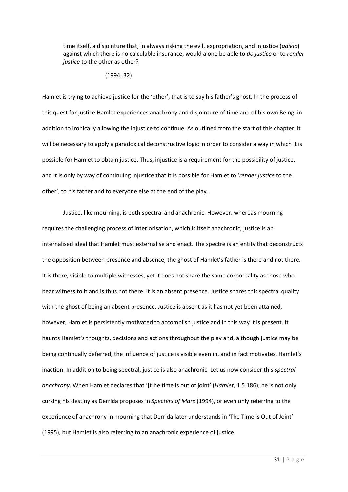time itself, a disjointure that, in always risking the evil, expropriation, and injustice (*adikia*) against which there is no calculable insurance, would alone be able to *do justice* or to *render justice* to the other as other?

#### (1994: 32)

Hamlet is trying to achieve justice for the 'other', that is to say his father's ghost. In the process of this quest for justice Hamlet experiences anachrony and disjointure of time and of his own Being, in addition to ironically allowing the injustice to continue. As outlined from the start of this chapter, it will be necessary to apply a paradoxical deconstructive logic in order to consider a way in which it is possible for Hamlet to obtain justice. Thus, injustice is a requirement for the possibility of justice, and it is only by way of continuing injustice that it is possible for Hamlet to '*render justice* to the other', to his father and to everyone else at the end of the play.

Justice, like mourning, is both spectral and anachronic. However, whereas mourning requires the challenging process of interiorisation, which is itself anachronic, justice is an internalised ideal that Hamlet must externalise and enact. The spectre is an entity that deconstructs the opposition between presence and absence, the ghost of Hamlet's father is there and not there. It is there, visible to multiple witnesses, yet it does not share the same corporeality as those who bear witness to it and is thus not there. It is an absent presence. Justice shares this spectral quality with the ghost of being an absent presence. Justice is absent as it has not yet been attained, however, Hamlet is persistently motivated to accomplish justice and in this way it is present. It haunts Hamlet's thoughts, decisions and actions throughout the play and, although justice may be being continually deferred, the influence of justice is visible even in, and in fact motivates, Hamlet's inaction. In addition to being spectral, justice is also anachronic. Let us now consider this *spectral anachrony*. When Hamlet declares that '[t]he time is out of joint' (*Hamlet,* 1.5.186), he is not only cursing his destiny as Derrida proposes in *Specters of Marx* (1994), or even only referring to the experience of anachrony in mourning that Derrida later understands in 'The Time is Out of Joint' (1995), but Hamlet is also referring to an anachronic experience of justice.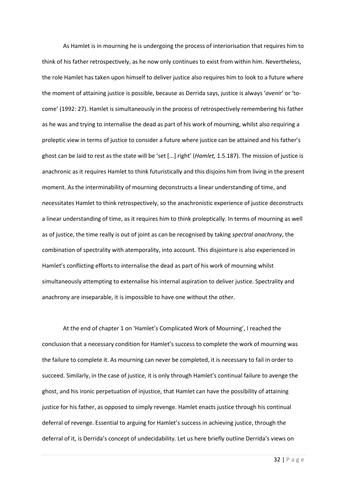As Hamlet is in mourning he is undergoing the process of interiorisation that requires him to think of his father retrospectively, as he now only continues to exist from within him. Nevertheless, the role Hamlet has taken upon himself to deliver justice also requires him to look to a future where the moment of attaining justice is possible, because as Derrida says, justice is always '*avenir*' or 'tocome' (1992: 27). Hamlet is simultaneously in the process of retrospectively remembering his father as he was and trying to internalise the dead as part of his work of mourning, whilst also requiring a proleptic view in terms of justice to consider a future where justice can be attained and his father's ghost can be laid to rest as the state will be 'set [...] right' (*Hamlet,* 1.5.187). The mission of justice is anachronic as it requires Hamlet to think futuristically and this disjoins him from living in the present moment. As the interminability of mourning deconstructs a linear understanding of time, and necessitates Hamlet to think retrospectively, so the anachronistic experience of justice deconstructs a linear understanding of time, as it requires him to think proleptically. In terms of mourning as well as of justice, the time really is out of joint as can be recognised by taking *spectral anachrony*, the combination of spectrality with atemporality, into account. This disjointure is also experienced in Hamlet's conflicting efforts to internalise the dead as part of his work of mourning whilst simultaneously attempting to externalise his internal aspiration to deliver justice. Spectrality and anachrony are inseparable, it is impossible to have one without the other.

At the end of chapter 1 on 'Hamlet's Complicated Work of Mourning', I reached the conclusion that a necessary condition for Hamlet's success to complete the work of mourning was the failure to complete it. As mourning can never be completed, it is necessary to fail in order to succeed. Similarly, in the case of justice, it is only through Hamlet's continual failure to avenge the ghost, and his ironic perpetuation of injustice, that Hamlet can have the possibility of attaining justice for his father, as opposed to simply revenge. Hamlet enacts justice through his continual deferral of revenge. Essential to arguing for Hamlet's success in achieving justice, through the deferral of it, is Derrida's concept of undecidability. Let us here briefly outline Derrida's views on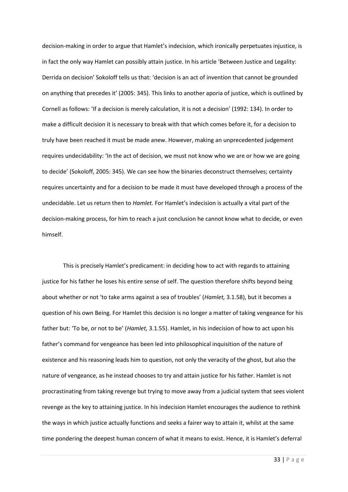decision-making in order to argue that Hamlet's indecision, which ironically perpetuates injustice, is in fact the only way Hamlet can possibly attain justice. In his article 'Between Justice and Legality: Derrida on decision' Sokoloff tells us that: 'decision is an act of invention that cannot be grounded on anything that precedes it' (2005: 345). This links to another aporia of justice, which is outlined by Cornell as follows: 'If a decision is merely calculation, it is not a decision' (1992: 134). In order to make a difficult decision it is necessary to break with that which comes before it, for a decision to truly have been reached it must be made anew. However, making an unprecedented judgement requires undecidability: 'In the act of decision, we must not know who we are or how we are going to decide' (Sokoloff, 2005: 345). We can see how the binaries deconstruct themselves; certainty requires uncertainty and for a decision to be made it must have developed through a process of the undecidable. Let us return then to *Hamlet.* For Hamlet's indecision is actually a vital part of the decision-making process, for him to reach a just conclusion he cannot know what to decide, or even himself.

This is precisely Hamlet's predicament: in deciding how to act with regards to attaining justice for his father he loses his entire sense of self. The question therefore shifts beyond being about whether or not 'to take arms against a sea of troubles' (*Hamlet,* 3.1.58), but it becomes a question of his own Being. For Hamlet this decision is no longer a matter of taking vengeance for his father but: 'To be, or not to be' (*Hamlet,* 3.1.55). Hamlet, in his indecision of how to act upon his father's command for vengeance has been led into philosophical inquisition of the nature of existence and his reasoning leads him to question, not only the veracity of the ghost, but also the nature of vengeance, as he instead chooses to try and attain justice for his father. Hamlet is not procrastinating from taking revenge but trying to move away from a judicial system that sees violent revenge as the key to attaining justice. In his indecision Hamlet encourages the audience to rethink the ways in which justice actually functions and seeks a fairer way to attain it, whilst at the same time pondering the deepest human concern of what it means to exist. Hence, it is Hamlet's deferral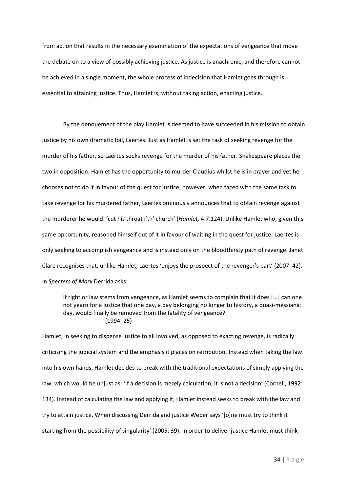from action that results in the necessary examination of the expectations of vengeance that move the debate on to a view of possibly achieving justice. As justice is anachronic, and therefore cannot be achieved in a single moment, the whole process of indecision that Hamlet goes through is essential to attaining justice. Thus, Hamlet is, without taking action, enacting justice.

By the denouement of the play Hamlet is deemed to have succeeded in his mission to obtain justice by his own dramatic foil, Laertes. Just as Hamlet is set the task of seeking revenge for the murder of his father, so Laertes seeks revenge for the murder of his father. Shakespeare places the two in opposition: Hamlet has the opportunity to murder Claudius whilst he is in prayer and yet he chooses not to do it in favour of the quest for justice; however, when faced with the same task to take revenge for his murdered father, Laertes ominously announces that to obtain revenge against the murderer he would: 'cut his throat i'th' church' (*Hamlet,* 4.7.124). Unlike Hamlet who, given this same opportunity, reasoned himself out of it in favour of waiting in the quest for justice; Laertes is only seeking to accomplish vengeance and is instead only on the bloodthirsty path of revenge. Janet Clare recognises that, unlike Hamlet, Laertes 'enjoys the prospect of the revenger's part' (2007: 42). In *Specters of Marx* Derrida asks:

If right or law stems from vengeance, as Hamlet seems to complain that it does [...] can one not yearn for a justice that one day, a day belonging no longer to history, a quasi-messianic day, would finally be removed from the fatality of vengeance? (1994: 25)

Hamlet, in seeking to dispense justice to all involved, as opposed to exacting revenge, is radically criticising the judicial system and the emphasis it places on retribution. Instead when taking the law into his own hands, Hamlet decides to break with the traditional expectations of simply applying the law, which would be unjust as: 'If a decision is merely calculation, it is not a decision' (Cornell, 1992: 134). Instead of calculating the law and applying it, Hamlet instead seeks to break with the law and try to attain justice. When discussing Derrida and justice Weber says '[o]ne must try to think it starting from the possibility of singularity' (2005: 39). In order to deliver justice Hamlet must think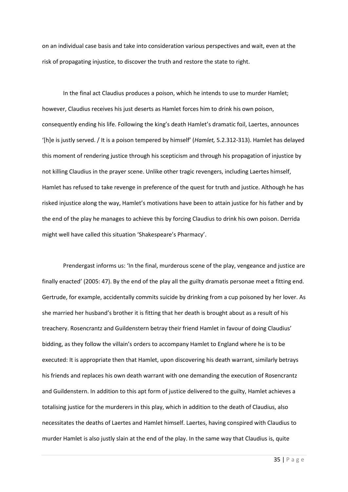on an individual case basis and take into consideration various perspectives and wait, even at the risk of propagating injustice, to discover the truth and restore the state to right.

In the final act Claudius produces a poison, which he intends to use to murder Hamlet; however, Claudius receives his just deserts as Hamlet forces him to drink his own poison, consequently ending his life. Following the king's death Hamlet's dramatic foil, Laertes, announces '[h]e is justly served. / It is a poison tempered by himself' (*Hamlet,* 5.2.312-313). Hamlet has delayed this moment of rendering justice through his scepticism and through his propagation of injustice by not killing Claudius in the prayer scene. Unlike other tragic revengers, including Laertes himself, Hamlet has refused to take revenge in preference of the quest for truth and justice. Although he has risked injustice along the way, Hamlet's motivations have been to attain justice for his father and by the end of the play he manages to achieve this by forcing Claudius to drink his own poison. Derrida might well have called this situation 'Shakespeare's Pharmacy'.

Prendergast informs us: 'In the final, murderous scene of the play, vengeance and justice are finally enacted' (2005: 47). By the end of the play all the guilty dramatis personae meet a fitting end. Gertrude, for example, accidentally commits suicide by drinking from a cup poisoned by her lover. As she married her husband's brother it is fitting that her death is brought about as a result of his treachery. Rosencrantz and Guildenstern betray their friend Hamlet in favour of doing Claudius' bidding, as they follow the villain's orders to accompany Hamlet to England where he is to be executed: It is appropriate then that Hamlet, upon discovering his death warrant, similarly betrays his friends and replaces his own death warrant with one demanding the execution of Rosencrantz and Guildenstern. In addition to this apt form of justice delivered to the guilty, Hamlet achieves a totalising justice for the murderers in this play, which in addition to the death of Claudius, also necessitates the deaths of Laertes and Hamlet himself. Laertes, having conspired with Claudius to murder Hamlet is also justly slain at the end of the play. In the same way that Claudius is, quite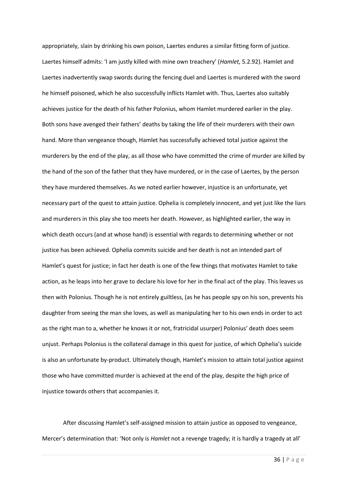appropriately, slain by drinking his own poison, Laertes endures a similar fitting form of justice. Laertes himself admits: 'I am justly killed with mine own treachery' (*Hamlet,* 5.2.92). Hamlet and Laertes inadvertently swap swords during the fencing duel and Laertes is murdered with the sword he himself poisoned, which he also successfully inflicts Hamlet with. Thus, Laertes also suitably achieves justice for the death of his father Polonius, whom Hamlet murdered earlier in the play. Both sons have avenged their fathers' deaths by taking the life of their murderers with their own hand. More than vengeance though, Hamlet has successfully achieved total justice against the murderers by the end of the play, as all those who have committed the crime of murder are killed by the hand of the son of the father that they have murdered, or in the case of Laertes, by the person they have murdered themselves. As we noted earlier however, injustice is an unfortunate, yet necessary part of the quest to attain justice. Ophelia is completely innocent, and yet just like the liars and murderers in this play she too meets her death. However, as highlighted earlier, the way in which death occurs (and at whose hand) is essential with regards to determining whether or not justice has been achieved. Ophelia commits suicide and her death is not an intended part of Hamlet's quest for justice; in fact her death is one of the few things that motivates Hamlet to take action, as he leaps into her grave to declare his love for her in the final act of the play. This leaves us then with Polonius. Though he is not entirely guiltless, (as he has people spy on his son, prevents his daughter from seeing the man she loves, as well as manipulating her to his own ends in order to act as the right man to a, whether he knows it or not, fratricidal usurper) Polonius' death does seem unjust. Perhaps Polonius is the collateral damage in this quest for justice, of which Ophelia's suicide is also an unfortunate by-product. Ultimately though, Hamlet's mission to attain total justice against those who have committed murder is achieved at the end of the play, despite the high price of injustice towards others that accompanies it.

After discussing Hamlet's self-assigned mission to attain justice as opposed to vengeance, Mercer's determination that: 'Not only is *Hamlet* not a revenge tragedy; it is hardly a tragedy at all'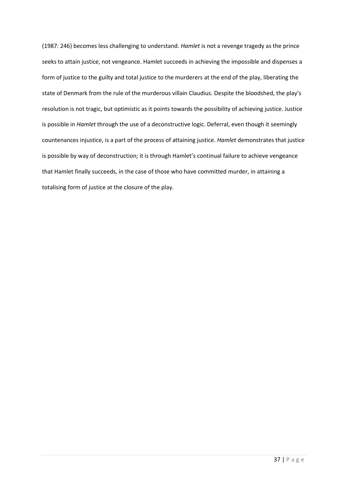(1987: 246) becomes less challenging to understand. *Hamlet* is not a revenge tragedy as the prince seeks to attain justice, not vengeance. Hamlet succeeds in achieving the impossible and dispenses a form of justice to the guilty and total justice to the murderers at the end of the play, liberating the state of Denmark from the rule of the murderous villain Claudius. Despite the bloodshed, the play's resolution is not tragic, but optimistic as it points towards the possibility of achieving justice. Justice is possible in *Hamlet* through the use of a deconstructive logic. Deferral, even though it seemingly countenances injustice, is a part of the process of attaining justice. *Hamlet* demonstrates that justice is possible by way of deconstruction; it is through Hamlet's continual failure to achieve vengeance that Hamlet finally succeeds, in the case of those who have committed murder, in attaining a totalising form of justice at the closure of the play.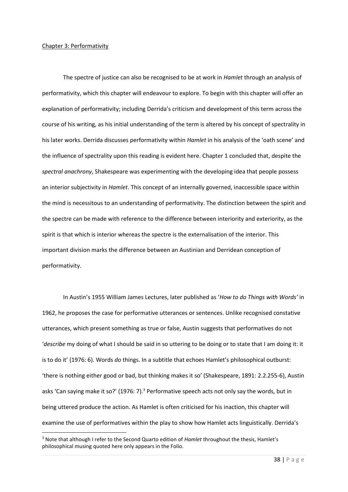## Chapter 3: Performativity

**.** 

The spectre of justice can also be recognised to be at work in *Hamlet* through an analysis of performativity, which this chapter will endeavour to explore. To begin with this chapter will offer an explanation of performativity; including Derrida's criticism and development of this term across the course of his writing, as his initial understanding of the term is altered by his concept of spectrality in his later works. Derrida discusses performativity within *Hamlet* in his analysis of the 'oath scene' and the influence of spectrality upon this reading is evident here. Chapter 1 concluded that, despite the *spectral anachrony*, Shakespeare was experimenting with the developing idea that people possess an interior subjectivity in *Hamlet*. This concept of an internally governed, inaccessible space within the mind is necessitous to an understanding of performativity. The distinction between the spirit and the spectre can be made with reference to the difference between interiority and exteriority, as the spirit is that which is interior whereas the spectre is the externalisation of the interior. This important division marks the difference between an Austinian and Derridean conception of performativity.

In Austin's 1955 William James Lectures, later published as '*How to do Things with Words'* in 1962, he proposes the case for performative utterances or sentences. Unlike recognised constative utterances, which present something as true or false, Austin suggests that performatives do not '*describe* my doing of what I should be said in so uttering to be doing or to state that I am doing it: it is to do it' (1976: 6). Words *do* things. In a subtitle that echoes Hamlet's philosophical outburst: 'there is nothing either good or bad, but thinking makes it so' (Shakespeare, 1891: 2.2.255-6), Austin asks 'Can saying make it so?' (1976: 7).<sup>3</sup> Performative speech acts not only say the words, but in being uttered produce the action. As Hamlet is often criticised for his inaction, this chapter will examine the use of performatives within the play to show how Hamlet acts linguistically. Derrida's

<sup>3</sup> Note that although I refer to the Second Quarto edition of *Hamlet* throughout the thesis, Hamlet's philosophical musing quoted here only appears in the Folio.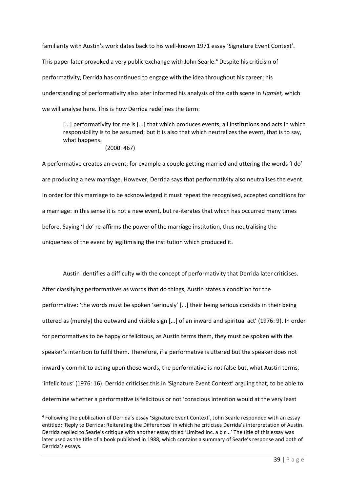familiarity with Austin's work dates back to his well-known 1971 essay 'Signature Event Context'. This paper later provoked a very public exchange with John Searle.<sup>4</sup> Despite his criticism of performativity, Derrida has continued to engage with the idea throughout his career; his understanding of performativity also later informed his analysis of the oath scene in *Hamlet,* which we will analyse here. This is how Derrida redefines the term:

[...] performativity for me is [...] that which produces events, all institutions and acts in which responsibility is to be assumed; but it is also that which neutralizes the event, that is to say, what happens.

# (2000: 467)

 $\overline{a}$ 

A performative creates an event; for example a couple getting married and uttering the words 'I do' are producing a new marriage. However, Derrida says that performativity also neutralises the event. In order for this marriage to be acknowledged it must repeat the recognised, accepted conditions for a marriage: in this sense it is not a new event, but re-iterates that which has occurred many times before. Saying 'I do' re-affirms the power of the marriage institution, thus neutralising the uniqueness of the event by legitimising the institution which produced it.

Austin identifies a difficulty with the concept of performativity that Derrida later criticises. After classifying performatives as words that do things, Austin states a condition for the performative: 'the words must be spoken 'seriously' [...] their being serious consists in their being uttered as (merely) the outward and visible sign [...] of an inward and spiritual act' (1976: 9). In order for performatives to be happy or felicitous, as Austin terms them, they must be spoken with the speaker's intention to fulfil them. Therefore, if a performative is uttered but the speaker does not inwardly commit to acting upon those words, the performative is not false but, what Austin terms, 'infelicitous' (1976: 16). Derrida criticises this in *'*Signature Event Context' arguing that, to be able to determine whether a performative is felicitous or not 'conscious intention would at the very least

<sup>&</sup>lt;sup>4</sup> Following the publication of Derrida's essay 'Signature Event Context', John Searle responded with an essay entitled: 'Reply to Derrida: Reiterating the Differences' in which he criticises Derrida's interpretation of Austin. Derrida replied to Searle's critique with another essay titled 'Limited Inc. a b c...' The title of this essay was later used as the title of a book published in 1988, which contains a summary of Searle's response and both of Derrida's essays.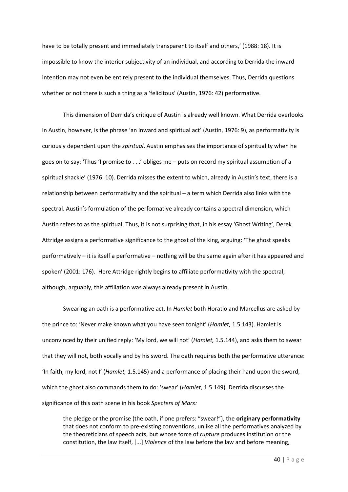have to be totally present and immediately transparent to itself and others,' (1988: 18). It is impossible to know the interior subjectivity of an individual, and according to Derrida the inward intention may not even be entirely present to the individual themselves. Thus, Derrida questions whether or not there is such a thing as a 'felicitous' (Austin, 1976: 42) performative.

This dimension of Derrida's critique of Austin is already well known. What Derrida overlooks in Austin, however, is the phrase 'an inward and spiritual act' (Austin, 1976: 9), as performativity is curiously dependent upon the *spiritual*. Austin emphasises the importance of spirituality when he goes on to say: 'Thus 'I promise to . . .' obliges me – puts on record my spiritual assumption of a spiritual shackle' (1976: 10). Derrida misses the extent to which, already in Austin's text, there is a relationship between performativity and the spiritual – a term which Derrida also links with the spectral. Austin's formulation of the performative already contains a spectral dimension, which Austin refers to as the spiritual. Thus, it is not surprising that, in his essay 'Ghost Writing', Derek Attridge assigns a performative significance to the ghost of the king, arguing: 'The ghost speaks performatively – it is itself a performative – nothing will be the same again after it has appeared and spoken' (2001: 176). Here Attridge rightly begins to affiliate performativity with the spectral; although, arguably, this affiliation was always already present in Austin.

Swearing an oath is a performative act. In *Hamlet* both Horatio and Marcellus are asked by the prince to: 'Never make known what you have seen tonight' (*Hamlet,* 1.5.143). Hamlet is unconvinced by their unified reply: 'My lord, we will not' (*Hamlet,* 1.5.144), and asks them to swear that they will not, both vocally and by his sword. The oath requires both the performative utterance: 'In faith, my lord, not I' (*Hamlet,* 1.5.145) and a performance of placing their hand upon the sword, which the ghost also commands them to do: 'swear' (*Hamlet,* 1.5.149). Derrida discusses the significance of this oath scene in his book *Specters of Marx:*

the pledge or the promise (the oath, if one prefers: "swear!"), the **originary performativity**  that does not conform to pre-existing conventions, unlike all the performatives analyzed by the theoreticians of speech acts, but whose force of *rupture* produces institution or the constitution, the law itself, [...] *Violence* of the law before the law and before meaning,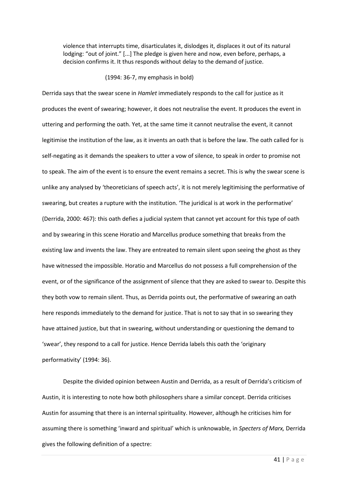violence that interrupts time, disarticulates it, dislodges it, displaces it out of its natural lodging: "out of joint." [...] The pledge is given here and now, even before, perhaps, a decision confirms it. It thus responds without delay to the demand of justice.

### (1994: 36-7, my emphasis in bold)

Derrida says that the swear scene in *Hamlet* immediately responds to the call for justice as it produces the event of swearing; however, it does not neutralise the event. It produces the event in uttering and performing the oath. Yet, at the same time it cannot neutralise the event, it cannot legitimise the institution of the law, as it invents an oath that is before the law. The oath called for is self-negating as it demands the speakers to utter a vow of silence, to speak in order to promise not to speak. The aim of the event is to ensure the event remains a secret. This is why the swear scene is unlike any analysed by 'theoreticians of speech acts', it is not merely legitimising the performative of swearing, but creates a rupture with the institution. 'The juridical is at work in the performative' (Derrida, 2000: 467): this oath defies a judicial system that cannot yet account for this type of oath and by swearing in this scene Horatio and Marcellus produce something that breaks from the existing law and invents the law. They are entreated to remain silent upon seeing the ghost as they have witnessed the impossible. Horatio and Marcellus do not possess a full comprehension of the event, or of the significance of the assignment of silence that they are asked to swear to. Despite this they both vow to remain silent. Thus, as Derrida points out, the performative of swearing an oath here responds immediately to the demand for justice. That is not to say that in so swearing they have attained justice, but that in swearing, without understanding or questioning the demand to 'swear', they respond to a call for justice. Hence Derrida labels this oath the 'originary performativity' (1994: 36).

Despite the divided opinion between Austin and Derrida, as a result of Derrida's criticism of Austin, it is interesting to note how both philosophers share a similar concept. Derrida criticises Austin for assuming that there is an internal spirituality. However, although he criticises him for assuming there is something 'inward and spiritual' which is unknowable, in *Specters of Marx,* Derrida gives the following definition of a spectre: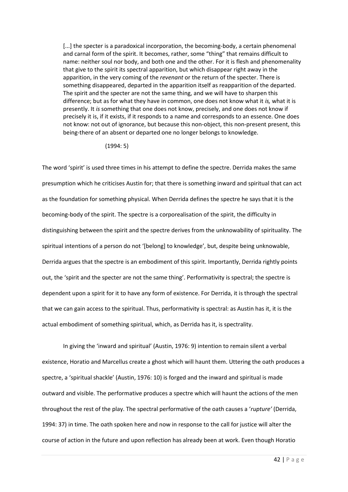[...] the specter is a paradoxical incorporation, the becoming-body, a certain phenomenal and carnal form of the spirit. It becomes, rather, some "thing" that remains difficult to name: neither soul nor body, and both one and the other. For it is flesh and phenomenality that give to the spirit its spectral apparition, but which disappear right away in the apparition, in the very coming of the *revenant* or the return of the specter. There is something disappeared, departed in the apparition itself as reapparition of the departed. The spirit and the specter are not the same thing, and we will have to sharpen this difference; but as for what they have in common, one does not know what it *is,* what it is presently. It *is* something that one does not know, precisely, and one does not know if precisely it is, if it exists, if it responds to a name and corresponds to an essence. One does not know: not out of ignorance, but because this non-object, this non-present present, this being-there of an absent or departed one no longer belongs to knowledge.

(1994: 5)

The word 'spirit' is used three times in his attempt to define the spectre. Derrida makes the same presumption which he criticises Austin for; that there is something inward and spiritual that can act as the foundation for something physical. When Derrida defines the spectre he says that it is the becoming-body of the spirit. The spectre is a corporealisation of the spirit, the difficulty in distinguishing between the spirit and the spectre derives from the unknowability of spirituality. The spiritual intentions of a person do not '[belong] to knowledge', but, despite being unknowable, Derrida argues that the spectre is an embodiment of this spirit. Importantly, Derrida rightly points out, the 'spirit and the specter are not the same thing'. Performativity is spectral; the spectre is dependent upon a spirit for it to have any form of existence. For Derrida, it is through the spectral that we can gain access to the spiritual. Thus, performativity is spectral: as Austin has it, it is the actual embodiment of something spiritual, which, as Derrida has it, is spectrality.

In giving the 'inward and spiritual' (Austin, 1976: 9) intention to remain silent a verbal existence, Horatio and Marcellus create a ghost which will haunt them. Uttering the oath produces a spectre, a 'spiritual shackle' (Austin, 1976: 10) is forged and the inward and spiritual is made outward and visible. The performative produces a spectre which will haunt the actions of the men throughout the rest of the play. The spectral performative of the oath causes a '*rupture'* (Derrida, 1994: 37) in time. The oath spoken here and now in response to the call for justice will alter the course of action in the future and upon reflection has already been at work. Even though Horatio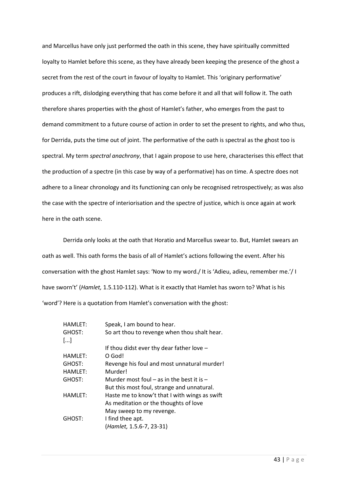and Marcellus have only just performed the oath in this scene, they have spiritually committed loyalty to Hamlet before this scene, as they have already been keeping the presence of the ghost a secret from the rest of the court in favour of loyalty to Hamlet. This 'originary performative' produces a rift, dislodging everything that has come before it and all that will follow it. The oath therefore shares properties with the ghost of Hamlet's father, who emerges from the past to demand commitment to a future course of action in order to set the present to rights, and who thus, for Derrida, puts the time out of joint. The performative of the oath is spectral as the ghost too is spectral. My term *spectral anachrony*, that I again propose to use here, characterises this effect that the production of a spectre (in this case by way of a performative) has on time. A spectre does not adhere to a linear chronology and its functioning can only be recognised retrospectively; as was also the case with the spectre of interiorisation and the spectre of justice, which is once again at work here in the oath scene.

Derrida only looks at the oath that Horatio and Marcellus swear to. But, Hamlet swears an oath as well. This oath forms the basis of all of Hamlet's actions following the event. After his conversation with the ghost Hamlet says: 'Now to my word./ It is 'Adieu, adieu, remember me.'/ I have sworn't' (*Hamlet,* 1.5.110-112). What is it exactly that Hamlet has sworn to? What is his 'word'? Here is a quotation from Hamlet's conversation with the ghost:

| <b>HAMLET:</b> | Speak, I am bound to hear.                    |
|----------------|-----------------------------------------------|
| GHOST:         | So art thou to revenge when thou shalt hear.  |
| []             |                                               |
|                | If thou didst ever thy dear father love $-$   |
| <b>HAMLET:</b> | O God!                                        |
| GHOST:         | Revenge his foul and most unnatural murder!   |
| <b>HAMLET:</b> | Murder!                                       |
| GHOST:         | Murder most foul $-$ as in the best it is $-$ |
|                | But this most foul, strange and unnatural.    |
| <b>HAMLET:</b> | Haste me to know't that I with wings as swift |
|                | As meditation or the thoughts of love         |
|                | May sweep to my revenge.                      |
| GHOST:         | I find thee apt.                              |
|                | (Hamlet, 1.5.6-7, 23-31)                      |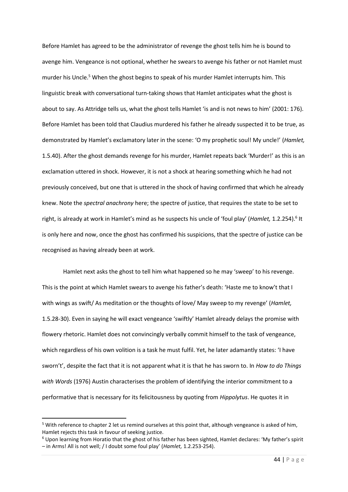Before Hamlet has agreed to be the administrator of revenge the ghost tells him he is bound to avenge him. Vengeance is not optional, whether he swears to avenge his father or not Hamlet must murder his Uncle.<sup>5</sup> When the ghost begins to speak of his murder Hamlet interrupts him. This linguistic break with conversational turn-taking shows that Hamlet anticipates what the ghost is about to say. As Attridge tells us, what the ghost tells Hamlet 'is and is not news to him' (2001: 176). Before Hamlet has been told that Claudius murdered his father he already suspected it to be true, as demonstrated by Hamlet's exclamatory later in the scene: 'O my prophetic soul! My uncle!' (*Hamlet,*  1.5.40). After the ghost demands revenge for his murder, Hamlet repeats back 'Murder!' as this is an exclamation uttered in shock. However, it is not a shock at hearing something which he had not previously conceived, but one that is uttered in the shock of having confirmed that which he already knew. Note the *spectral anachrony* here; the spectre of justice, that requires the state to be set to right, is already at work in Hamlet's mind as he suspects his uncle of 'foul play' (Hamlet, 1.2.254).<sup>6</sup> It is only here and now, once the ghost has confirmed his suspicions, that the spectre of justice can be recognised as having already been at work.

Hamlet next asks the ghost to tell him what happened so he may 'sweep' to his revenge. This is the point at which Hamlet swears to avenge his father's death: 'Haste me to know't that I with wings as swift/ As meditation or the thoughts of love/ May sweep to my revenge' (*Hamlet,*  1.5.28-30). Even in saying he will exact vengeance 'swiftly' Hamlet already delays the promise with flowery rhetoric. Hamlet does not convincingly verbally commit himself to the task of vengeance, which regardless of his own volition is a task he must fulfil. Yet, he later adamantly states: 'I have sworn't', despite the fact that it is not apparent what it is that he has sworn to. In *How to do Things with Words* (1976) Austin characterises the problem of identifying the interior commitment to a performative that is necessary for its felicitousness by quoting from *Hippolytus*. He quotes it in

<sup>5</sup> With reference to chapter 2 let us remind ourselves at this point that, although vengeance is asked of him, Hamlet rejects this task in favour of seeking justice.

 $6$  Upon learning from Horatio that the ghost of his father has been sighted, Hamlet declares: 'My father's spirit – in Arms! All is not well; / I doubt some foul play' (*Hamlet,* 1.2.253-254).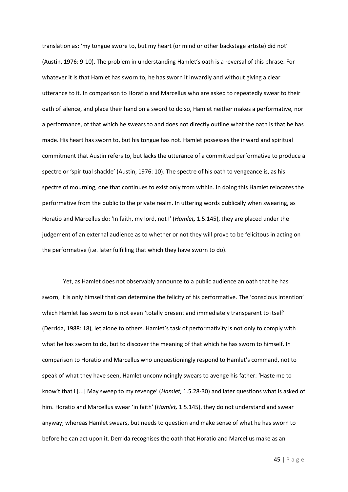translation as: 'my tongue swore to, but my heart (or mind or other backstage artiste) did not' (Austin, 1976: 9-10). The problem in understanding Hamlet's oath is a reversal of this phrase. For whatever it is that Hamlet has sworn to, he has sworn it inwardly and without giving a clear utterance to it. In comparison to Horatio and Marcellus who are asked to repeatedly swear to their oath of silence, and place their hand on a sword to do so, Hamlet neither makes a performative, nor a performance, of that which he swears to and does not directly outline what the oath is that he has made. His heart has sworn to, but his tongue has not. Hamlet possesses the inward and spiritual commitment that Austin refers to, but lacks the utterance of a committed performative to produce a spectre or 'spiritual shackle' (Austin, 1976: 10). The spectre of his oath to vengeance is, as his spectre of mourning, one that continues to exist only from within. In doing this Hamlet relocates the performative from the public to the private realm. In uttering words publically when swearing, as Horatio and Marcellus do: 'In faith, my lord, not I' (*Hamlet,* 1.5.145), they are placed under the judgement of an external audience as to whether or not they will prove to be felicitous in acting on the performative (i.e. later fulfilling that which they have sworn to do).

Yet, as Hamlet does not observably announce to a public audience an oath that he has sworn, it is only himself that can determine the felicity of his performative. The 'conscious intention' which Hamlet has sworn to is not even 'totally present and immediately transparent to itself' (Derrida, 1988: 18), let alone to others. Hamlet's task of performativity is not only to comply with what he has sworn to do, but to discover the meaning of that which he has sworn to himself. In comparison to Horatio and Marcellus who unquestioningly respond to Hamlet's command, not to speak of what they have seen, Hamlet unconvincingly swears to avenge his father: 'Haste me to know't that I [...] May sweep to my revenge' (*Hamlet,* 1.5.28-30) and later questions what is asked of him. Horatio and Marcellus swear 'in faith' (*Hamlet,* 1.5.145), they do not understand and swear anyway; whereas Hamlet swears, but needs to question and make sense of what he has sworn to before he can act upon it. Derrida recognises the oath that Horatio and Marcellus make as an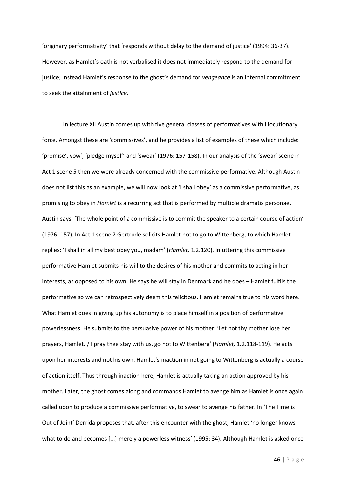'originary performativity' that 'responds without delay to the demand of justice' (1994: 36-37). However, as Hamlet's oath is not verbalised it does not immediately respond to the demand for justice; instead Hamlet's response to the ghost's demand for *vengeance* is an internal commitment to seek the attainment of *justice.*

In lecture XII Austin comes up with five general classes of performatives with illocutionary force. Amongst these are 'commissives', and he provides a list of examples of these which include: 'promise', vow', 'pledge myself' and 'swear' (1976: 157-158). In our analysis of the 'swear' scene in Act 1 scene 5 then we were already concerned with the commissive performative. Although Austin does not list this as an example, we will now look at 'I shall obey' as a commissive performative, as promising to obey in *Hamlet* is a recurring act that is performed by multiple dramatis personae. Austin says: 'The whole point of a commissive is to commit the speaker to a certain course of action' (1976: 157). In Act 1 scene 2 Gertrude solicits Hamlet not to go to Wittenberg, to which Hamlet replies: 'I shall in all my best obey you, madam' (*Hamlet,* 1.2.120). In uttering this commissive performative Hamlet submits his will to the desires of his mother and commits to acting in her interests, as opposed to his own. He says he will stay in Denmark and he does – Hamlet fulfils the performative so we can retrospectively deem this felicitous. Hamlet remains true to his word here. What Hamlet does in giving up his autonomy is to place himself in a position of performative powerlessness. He submits to the persuasive power of his mother: 'Let not thy mother lose her prayers, Hamlet. / I pray thee stay with us, go not to Wittenberg' (*Hamlet,* 1.2.118-119). He acts upon her interests and not his own. Hamlet's inaction in not going to Wittenberg is actually a course of action itself. Thus through inaction here, Hamlet is actually taking an action approved by his mother. Later, the ghost comes along and commands Hamlet to avenge him as Hamlet is once again called upon to produce a commissive performative, to swear to avenge his father. In 'The Time is Out of Joint' Derrida proposes that, after this encounter with the ghost, Hamlet 'no longer knows what to do and becomes [...] merely a powerless witness' (1995: 34). Although Hamlet is asked once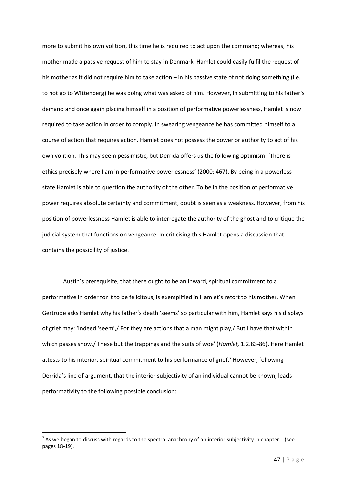more to submit his own volition, this time he is required to act upon the command; whereas, his mother made a passive request of him to stay in Denmark. Hamlet could easily fulfil the request of his mother as it did not require him to take action – in his passive state of not doing something (i.e. to not go to Wittenberg) he was doing what was asked of him. However, in submitting to his father's demand and once again placing himself in a position of performative powerlessness, Hamlet is now required to take action in order to comply. In swearing vengeance he has committed himself to a course of action that requires action. Hamlet does not possess the power or authority to act of his own volition. This may seem pessimistic, but Derrida offers us the following optimism: 'There is ethics precisely where I am in performative powerlessness' (2000: 467). By being in a powerless state Hamlet is able to question the authority of the other. To be in the position of performative power requires absolute certainty and commitment, doubt is seen as a weakness. However, from his position of powerlessness Hamlet is able to interrogate the authority of the ghost and to critique the judicial system that functions on vengeance. In criticising this Hamlet opens a discussion that contains the possibility of justice.

Austin's prerequisite, that there ought to be an inward, spiritual commitment to a performative in order for it to be felicitous, is exemplified in Hamlet's retort to his mother. When Gertrude asks Hamlet why his father's death 'seems' so particular with him, Hamlet says his displays of grief may: 'indeed 'seem',/ For they are actions that a man might play,/ But I have that within which passes show,/ These but the trappings and the suits of woe' (*Hamlet,* 1.2.83-86). Here Hamlet attests to his interior, spiritual commitment to his performance of grief.<sup>7</sup> However, following Derrida's line of argument, that the interior subjectivity of an individual cannot be known, leads performativity to the following possible conclusion:

 $^7$  As we began to discuss with regards to the spectral anachrony of an interior subjectivity in chapter 1 (see pages 18-19).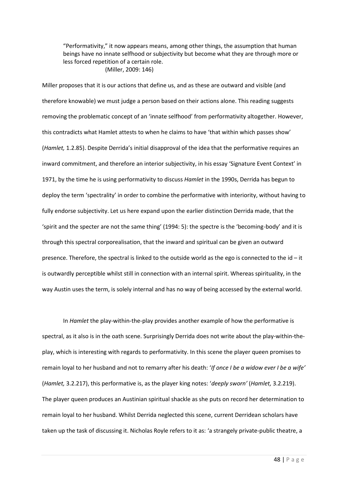"Performativity," it now appears means, among other things, the assumption that human beings have no innate selfhood or subjectivity but become what they are through more or less forced repetition of a certain role. (Miller, 2009: 146)

Miller proposes that it is our actions that define us, and as these are outward and visible (and therefore knowable) we must judge a person based on their actions alone. This reading suggests removing the problematic concept of an 'innate selfhood' from performativity altogether. However, this contradicts what Hamlet attests to when he claims to have 'that within which passes show' (*Hamlet,* 1.2.85). Despite Derrida's initial disapproval of the idea that the performative requires an inward commitment, and therefore an interior subjectivity, in his essay 'Signature Event Context' in 1971, by the time he is using performativity to discuss *Hamlet* in the 1990s, Derrida has begun to deploy the term 'spectrality' in order to combine the performative with interiority, without having to fully endorse subjectivity. Let us here expand upon the earlier distinction Derrida made, that the 'spirit and the specter are not the same thing' (1994: 5): the spectre is the 'becoming-body' and it is through this spectral corporealisation, that the inward and spiritual can be given an outward presence. Therefore, the spectral is linked to the outside world as the ego is connected to the id – it is outwardly perceptible whilst still in connection with an internal spirit. Whereas spirituality, in the way Austin uses the term, is solely internal and has no way of being accessed by the external world.

In *Hamlet* the play-within-the-play provides another example of how the performative is spectral, as it also is in the oath scene. Surprisingly Derrida does not write about the play-within-theplay, which is interesting with regards to performativity. In this scene the player queen promises to remain loyal to her husband and not to remarry after his death: '*If once I be a widow ever I be a wife'*  (*Hamlet,* 3.2.217), this performative is, as the player king notes: '*deeply sworn'* (*Hamlet,* 3.2.219). The player queen produces an Austinian spiritual shackle as she puts on record her determination to remain loyal to her husband. Whilst Derrida neglected this scene, current Derridean scholars have taken up the task of discussing it. Nicholas Royle refers to it as: 'a strangely private-public theatre, a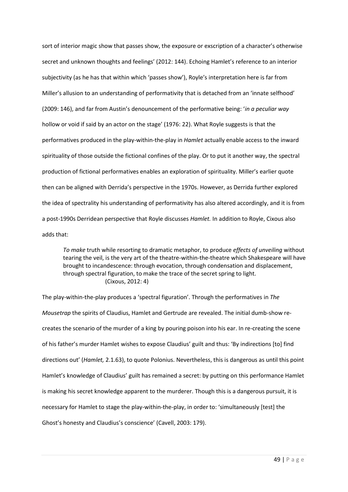sort of interior magic show that passes show, the exposure or exscription of a character's otherwise secret and unknown thoughts and feelings' (2012: 144). Echoing Hamlet's reference to an interior subjectivity (as he has that within which 'passes show'), Royle's interpretation here is far from Miller's allusion to an understanding of performativity that is detached from an 'innate selfhood' (2009: 146), and far from Austin's denouncement of the performative being: '*in a peculiar way*  hollow or void if said by an actor on the stage' (1976: 22). What Royle suggests is that the performatives produced in the play-within-the-play in *Hamlet* actually enable access to the inward spirituality of those outside the fictional confines of the play. Or to put it another way, the spectral production of fictional performatives enables an exploration of spirituality. Miller's earlier quote then can be aligned with Derrida's perspective in the 1970s. However, as Derrida further explored the idea of spectrality his understanding of performativity has also altered accordingly, and it is from a post-1990s Derridean perspective that Royle discusses *Hamlet.* In addition to Royle, Cixous also adds that:

*To make* truth while resorting to dramatic metaphor, to produce *effects of unveiling* without tearing the veil, is the very art of the theatre-within-the-theatre which Shakespeare will have brought to incandescence: through evocation, through condensation and displacement, through spectral figuration, to make the trace of the secret spring to light. (Cixous, 2012: 4)

The play-within-the-play produces a 'spectral figuration'. Through the performatives in *The Mousetrap* the spirits of Claudius, Hamlet and Gertrude are revealed. The initial dumb-show recreates the scenario of the murder of a king by pouring poison into his ear. In re-creating the scene of his father's murder Hamlet wishes to expose Claudius' guilt and thus: 'By indirections [to] find directions out' (*Hamlet,* 2.1.63), to quote Polonius. Nevertheless, this is dangerous as until this point Hamlet's knowledge of Claudius' guilt has remained a secret: by putting on this performance Hamlet is making his secret knowledge apparent to the murderer. Though this is a dangerous pursuit, it is necessary for Hamlet to stage the play-within-the-play, in order to: 'simultaneously [test] the Ghost's honesty and Claudius's conscience' (Cavell, 2003: 179).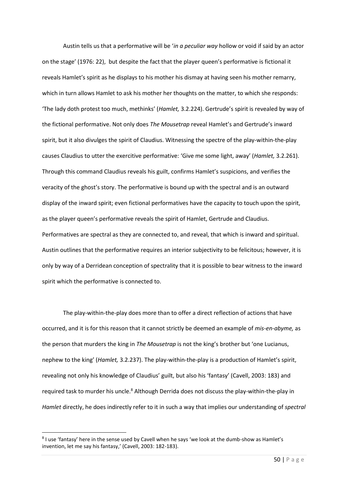Austin tells us that a performative will be '*in a peculiar way* hollow or void if said by an actor on the stage' (1976: 22), but despite the fact that the player queen's performative is fictional it reveals Hamlet's spirit as he displays to his mother his dismay at having seen his mother remarry, which in turn allows Hamlet to ask his mother her thoughts on the matter, to which she responds: 'The lady doth protest too much, methinks' (*Hamlet,* 3.2.224). Gertrude's spirit is revealed by way of the fictional performative. Not only does *The Mousetrap* reveal Hamlet's and Gertrude's inward spirit, but it also divulges the spirit of Claudius. Witnessing the spectre of the play-within-the-play causes Claudius to utter the exercitive performative: 'Give me some light, away' (*Hamlet,* 3.2.261). Through this command Claudius reveals his guilt, confirms Hamlet's suspicions, and verifies the veracity of the ghost's story. The performative is bound up with the spectral and is an outward display of the inward spirit; even fictional performatives have the capacity to touch upon the spirit, as the player queen's performative reveals the spirit of Hamlet, Gertrude and Claudius. Performatives are spectral as they are connected to, and reveal, that which is inward and spiritual. Austin outlines that the performative requires an interior subjectivity to be felicitous; however, it is only by way of a Derridean conception of spectrality that it is possible to bear witness to the inward spirit which the performative is connected to.

The play-within-the-play does more than to offer a direct reflection of actions that have occurred, and it is for this reason that it cannot strictly be deemed an example of *mis-en-abyme,* as the person that murders the king in *The Mousetrap* is not the king's brother but 'one Lucianus, nephew to the king' (*Hamlet,* 3.2.237). The play-within-the-play is a production of Hamlet's spirit, revealing not only his knowledge of Claudius' guilt, but also his 'fantasy' (Cavell, 2003: 183) and required task to murder his uncle.<sup>8</sup> Although Derrida does not discuss the play-within-the-play in *Hamlet* directly, he does indirectly refer to it in such a way that implies our understanding of *spectral* 

<sup>&</sup>lt;sup>8</sup> I use 'fantasy' here in the sense used by Cavell when he says 'we look at the dumb-show as Hamlet's invention, let me say his fantasy,' (Cavell, 2003: 182-183).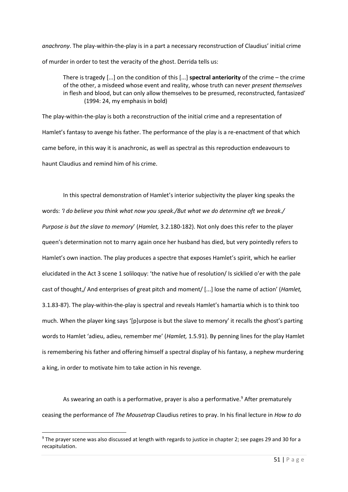*anachrony*. The play-within-the-play is in a part a necessary reconstruction of Claudius' initial crime of murder in order to test the veracity of the ghost. Derrida tells us:

There is tragedy [...] on the condition of this [...] **spectral anteriority** of the crime – the crime of the other, a misdeed whose event and reality, whose truth can never *present themselves*  in flesh and blood, but can only allow themselves to be presumed, reconstructed, fantasized' (1994: 24, my emphasis in bold)

The play-within-the-play is both a reconstruction of the initial crime and a representation of Hamlet's fantasy to avenge his father. The performance of the play is a re-enactment of that which came before, in this way it is anachronic, as well as spectral as this reproduction endeavours to haunt Claudius and remind him of his crime.

In this spectral demonstration of Hamlet's interior subjectivity the player king speaks the words: *'I do believe you think what now you speak./But what we do determine oft we break./ Purpose is but the slave to memory*' (*Hamlet,* 3.2.180-182). Not only does this refer to the player queen's determination not to marry again once her husband has died, but very pointedly refers to Hamlet's own inaction. The play produces a spectre that exposes Hamlet's spirit, which he earlier elucidated in the Act 3 scene 1 soliloquy: 'the native hue of resolution/ Is sicklied o'er with the pale cast of thought,/ And enterprises of great pitch and moment/ [...] lose the name of action' (*Hamlet,*  3.1.83-87). The play-within-the-play is spectral and reveals Hamlet's hamartia which is to think too much. When the player king says '[p]urpose is but the slave to memory' it recalls the ghost's parting words to Hamlet 'adieu, adieu, remember me' (*Hamlet,* 1.5.91). By penning lines for the play Hamlet is remembering his father and offering himself a spectral display of his fantasy, a nephew murdering a king, in order to motivate him to take action in his revenge.

As swearing an oath is a performative, prayer is also a performative.<sup>9</sup> After prematurely ceasing the performance of *The Mousetrap* Claudius retires to pray. In his final lecture in *How to do* 

<sup>9</sup> The prayer scene was also discussed at length with regards to justice in chapter 2; see pages 29 and 30 for a recapitulation.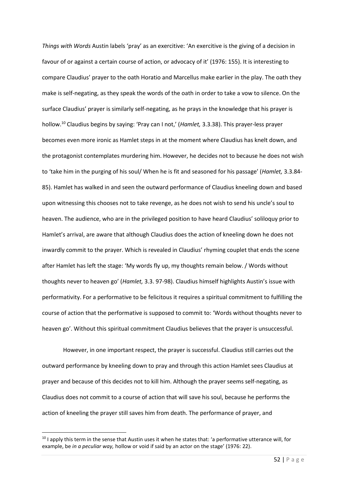*Things with Words* Austin labels 'pray' as an exercitive: 'An exercitive is the giving of a decision in favour of or against a certain course of action, or advocacy of it' (1976: 155). It is interesting to compare Claudius' prayer to the oath Horatio and Marcellus make earlier in the play. The oath they make is self-negating, as they speak the words of the oath in order to take a vow to silence. On the surface Claudius' prayer is similarly self-negating, as he prays in the knowledge that his prayer is hollow.<sup>10</sup> Claudius begins by saying: 'Pray can I not,' (*Hamlet,* 3.3.38). This prayer-less prayer becomes even more ironic as Hamlet steps in at the moment where Claudius has knelt down, and the protagonist contemplates murdering him. However, he decides not to because he does not wish to 'take him in the purging of his soul/ When he is fit and seasoned for his passage' (*Hamlet,* 3.3.84- 85). Hamlet has walked in and seen the outward performance of Claudius kneeling down and based upon witnessing this chooses not to take revenge, as he does not wish to send his uncle's soul to heaven. The audience, who are in the privileged position to have heard Claudius' soliloquy prior to Hamlet's arrival, are aware that although Claudius does the action of kneeling down he does not inwardly commit to the prayer. Which is revealed in Claudius' rhyming couplet that ends the scene after Hamlet has left the stage: 'My words fly up, my thoughts remain below. / Words without thoughts never to heaven go' (*Hamlet,* 3.3. 97-98). Claudius himself highlights Austin's issue with performativity. For a performative to be felicitous it requires a spiritual commitment to fulfilling the course of action that the performative is supposed to commit to: 'Words without thoughts never to heaven go'. Without this spiritual commitment Claudius believes that the prayer is unsuccessful.

However, in one important respect, the prayer is successful. Claudius still carries out the outward performance by kneeling down to pray and through this action Hamlet sees Claudius at prayer and because of this decides not to kill him. Although the prayer seems self-negating, as Claudius does not commit to a course of action that will save his soul, because he performs the action of kneeling the prayer still saves him from death. The performance of prayer, and

<sup>&</sup>lt;sup>10</sup> I apply this term in the sense that Austin uses it when he states that: 'a performative utterance will, for example, be *in a peculiar way,* hollow or void if said by an actor on the stage' (1976: 22).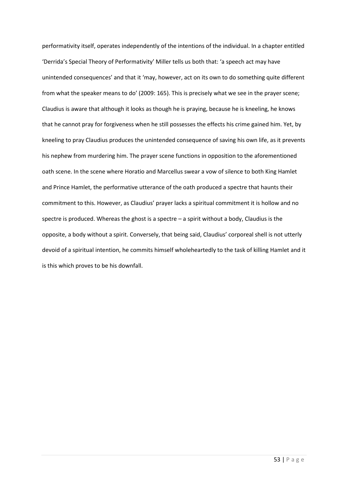performativity itself, operates independently of the intentions of the individual. In a chapter entitled 'Derrida's Special Theory of Performativity' Miller tells us both that: 'a speech act may have unintended consequences' and that it 'may, however, act on its own to do something quite different from what the speaker means to do' (2009: 165). This is precisely what we see in the prayer scene; Claudius is aware that although it looks as though he is praying, because he is kneeling, he knows that he cannot pray for forgiveness when he still possesses the effects his crime gained him. Yet, by kneeling to pray Claudius produces the unintended consequence of saving his own life, as it prevents his nephew from murdering him. The prayer scene functions in opposition to the aforementioned oath scene. In the scene where Horatio and Marcellus swear a vow of silence to both King Hamlet and Prince Hamlet, the performative utterance of the oath produced a spectre that haunts their commitment to this. However, as Claudius' prayer lacks a spiritual commitment it is hollow and no spectre is produced. Whereas the ghost is a spectre – a spirit without a body, Claudius is the opposite, a body without a spirit. Conversely, that being said, Claudius' corporeal shell is not utterly devoid of a spiritual intention, he commits himself wholeheartedly to the task of killing Hamlet and it is this which proves to be his downfall.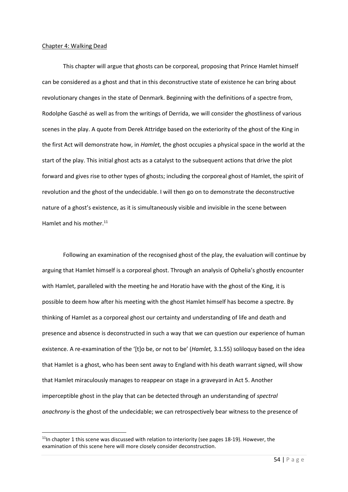#### Chapter 4: Walking Dead

**.** 

This chapter will argue that ghosts can be corporeal*,* proposing that Prince Hamlet himself can be considered as a ghost and that in this deconstructive state of existence he can bring about revolutionary changes in the state of Denmark. Beginning with the definitions of a spectre from, Rodolphe Gasché as well as from the writings of Derrida, we will consider the ghostliness of various scenes in the play. A quote from Derek Attridge based on the exteriority of the ghost of the King in the first Act will demonstrate how, in *Hamlet,* the ghost occupies a physical space in the world at the start of the play. This initial ghost acts as a catalyst to the subsequent actions that drive the plot forward and gives rise to other types of ghosts; including the corporeal ghost of Hamlet, the spirit of revolution and the ghost of the undecidable. I will then go on to demonstrate the deconstructive nature of a ghost's existence, as it is simultaneously visible and invisible in the scene between Hamlet and his mother.<sup>11</sup>

Following an examination of the recognised ghost of the play, the evaluation will continue by arguing that Hamlet himself is a corporeal ghost. Through an analysis of Ophelia's ghostly encounter with Hamlet, paralleled with the meeting he and Horatio have with the ghost of the King, it is possible to deem how after his meeting with the ghost Hamlet himself has become a spectre. By thinking of Hamlet as a corporeal ghost our certainty and understanding of life and death and presence and absence is deconstructed in such a way that we can question our experience of human existence. A re-examination of the '[t]o be, or not to be' (*Hamlet,* 3.1.55) soliloquy based on the idea that Hamlet is a ghost, who has been sent away to England with his death warrant signed, will show that Hamlet miraculously manages to reappear on stage in a graveyard in Act 5. Another imperceptible ghost in the play that can be detected through an understanding of *spectral anachrony* is the ghost of the undecidable; we can retrospectively bear witness to the presence of

 $11$ In chapter 1 this scene was discussed with relation to interiority (see pages 18-19). However, the examination of this scene here will more closely consider deconstruction.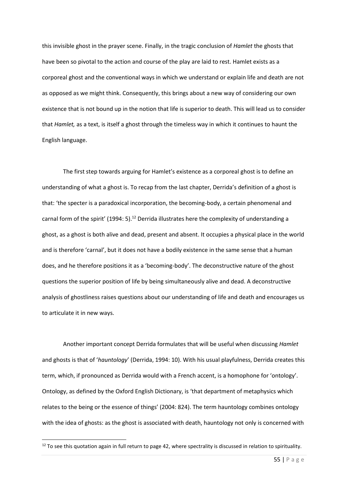this invisible ghost in the prayer scene. Finally, in the tragic conclusion of *Hamlet* the ghosts that have been so pivotal to the action and course of the play are laid to rest. Hamlet exists as a corporeal ghost and the conventional ways in which we understand or explain life and death are not as opposed as we might think. Consequently, this brings about a new way of considering our own existence that is not bound up in the notion that life is superior to death. This will lead us to consider that *Hamlet,* as a text, is itself a ghost through the timeless way in which it continues to haunt the English language.

The first step towards arguing for Hamlet's existence as a corporeal ghost is to define an understanding of what a ghost is. To recap from the last chapter, Derrida's definition of a ghost is that: 'the specter is a paradoxical incorporation, the becoming-body, a certain phenomenal and carnal form of the spirit' (1994: 5).<sup>12</sup> Derrida illustrates here the complexity of understanding a ghost, as a ghost is both alive and dead, present and absent. It occupies a physical place in the world and is therefore 'carnal', but it does not have a bodily existence in the same sense that a human does, and he therefore positions it as a 'becoming-body'. The deconstructive nature of the ghost questions the superior position of life by being simultaneously alive and dead. A deconstructive analysis of ghostliness raises questions about our understanding of life and death and encourages us to articulate it in new ways.

Another important concept Derrida formulates that will be useful when discussing *Hamlet*  and ghosts is that of '*hauntology*' (Derrida, 1994: 10). With his usual playfulness, Derrida creates this term, which, if pronounced as Derrida would with a French accent, is a homophone for 'ontology'. Ontology, as defined by the Oxford English Dictionary, is 'that department of metaphysics which relates to the being or the essence of things' (2004: 824). The term hauntology combines ontology with the idea of ghosts: as the ghost is associated with death, hauntology not only is concerned with

 $12$  To see this quotation again in full return to page 42, where spectrality is discussed in relation to spirituality.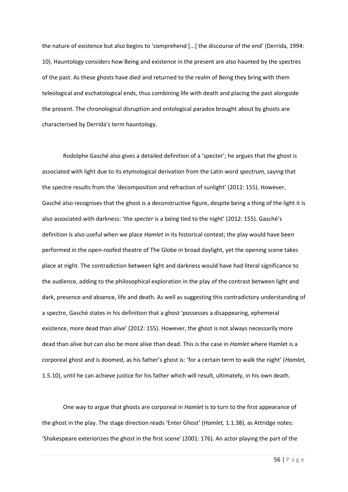the nature of existence but also begins to 'comprehend [...] the discourse of the end' (Derrida, 1994: 10). Hauntology considers how Being and existence in the present are also haunted by the spectres of the past. As these ghosts have died and returned to the realm of Being they bring with them teleological and eschatological ends, thus combining life with death and placing the past alongside the present. The chronological disruption and ontological paradox brought about by ghosts are characterised by Derrida's term hauntology.

Rodolphe Gasché also gives a detailed definition of a 'specter'; he argues that the ghost is associated with light due to its etymological derivation from the Latin word *spectrum,* saying that the spectre results from the 'decomposition and refraction of sunlight' (2012: 155). However, Gasché also recognises that the ghost is a deconstructive figure, despite being a thing of the light it is also associated with darkness: 'the *specter* is a being tied to the night' (2012: 155). Gasché's definition is also useful when we place *Hamlet* in its historical context; the play would have been performed in the open-roofed theatre of The Globe in broad daylight, yet the opening scene takes place at night. The contradiction between light and darkness would have had literal significance to the audience, adding to the philosophical exploration in the play of the contrast between light and dark, presence and absence, life and death. As well as suggesting this contradictory understanding of a spectre, Gasché states in his definition that a ghost 'possesses a disappearing, ephemeral existence, more dead than alive' (2012: 155). However, the ghost is not always necessarily more dead than alive but can also be more alive than dead. This is the case in *Hamlet* where Hamlet is a corporeal ghost and is doomed, as his father's ghost is: 'for a certain term to walk the night' (*Hamlet,*  1.5.10), until he can achieve justice for his father which will result, ultimately, in his own death.

One way to argue that ghosts are corporeal in *Hamlet* is to turn to the first appearance of the ghost in the play. The stage direction reads 'Enter Ghost' (*Hamlet,* 1.1.38), as Attridge notes: 'Shakespeare exteriorizes the ghost in the first scene' (2001: 176). An actor playing the part of the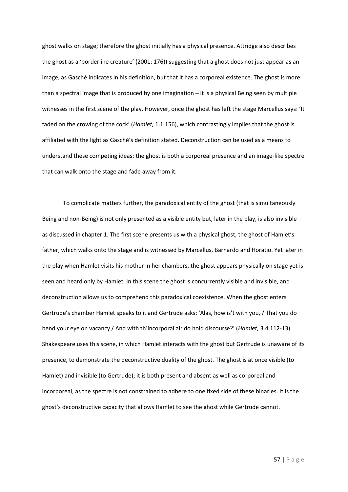ghost walks on stage; therefore the ghost initially has a physical presence. Attridge also describes the ghost as a 'borderline creature' (2001: 176)) suggesting that a ghost does not just appear as an image, as Gasché indicates in his definition, but that it has a corporeal existence. The ghost is more than a spectral image that is produced by one imagination – it is a physical Being seen by multiple witnesses in the first scene of the play. However, once the ghost has left the stage Marcellus says: 'It faded on the crowing of the cock' (*Hamlet,* 1.1.156), which contrastingly implies that the ghost is affiliated with the light as Gasché's definition stated. Deconstruction can be used as a means to understand these competing ideas: the ghost is both a corporeal presence and an image-like spectre that can walk onto the stage and fade away from it.

To complicate matters further, the paradoxical entity of the ghost (that is simultaneously Being and non-Being) is not only presented as a visible entity but, later in the play, is also invisible – as discussed in chapter 1. The first scene presents us with a physical ghost, the ghost of Hamlet's father, which walks onto the stage and is witnessed by Marcellus, Barnardo and Horatio. Yet later in the play when Hamlet visits his mother in her chambers, the ghost appears physically on stage yet is seen and heard only by Hamlet. In this scene the ghost is concurrently visible and invisible, and deconstruction allows us to comprehend this paradoxical coexistence. When the ghost enters Gertrude's chamber Hamlet speaks to it and Gertrude asks: 'Alas, how is't with you, / That you do bend your eye on vacancy / And with th'incorporal air do hold discourse?' (*Hamlet,* 3.4.112-13). Shakespeare uses this scene, in which Hamlet interacts with the ghost but Gertrude is unaware of its presence, to demonstrate the deconstructive duality of the ghost. The ghost is at once visible (to Hamlet) and invisible (to Gertrude); it is both present and absent as well as corporeal and incorporeal, as the spectre is not constrained to adhere to one fixed side of these binaries. It is the ghost's deconstructive capacity that allows Hamlet to see the ghost while Gertrude cannot.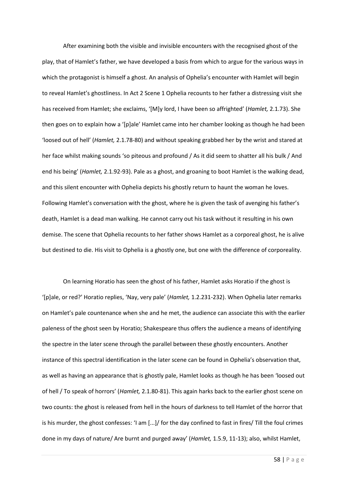After examining both the visible and invisible encounters with the recognised ghost of the play, that of Hamlet's father, we have developed a basis from which to argue for the various ways in which the protagonist is himself a ghost. An analysis of Ophelia's encounter with Hamlet will begin to reveal Hamlet's ghostliness. In Act 2 Scene 1 Ophelia recounts to her father a distressing visit she has received from Hamlet; she exclaims, '[M]y lord, I have been so affrighted' (*Hamlet,* 2.1.73). She then goes on to explain how a '[p]ale' Hamlet came into her chamber looking as though he had been 'loosed out of hell' (*Hamlet,* 2.1.78-80) and without speaking grabbed her by the wrist and stared at her face whilst making sounds 'so piteous and profound / As it did seem to shatter all his bulk / And end his being' (*Hamlet,* 2.1.92-93). Pale as a ghost, and groaning to boot Hamlet is the walking dead, and this silent encounter with Ophelia depicts his ghostly return to haunt the woman he loves. Following Hamlet's conversation with the ghost, where he is given the task of avenging his father's death, Hamlet is a dead man walking. He cannot carry out his task without it resulting in his own demise. The scene that Ophelia recounts to her father shows Hamlet as a corporeal ghost, he is alive but destined to die. His visit to Ophelia is a ghostly one, but one with the difference of corporeality.

On learning Horatio has seen the ghost of his father, Hamlet asks Horatio if the ghost is '[p]ale, or red?' Horatio replies, 'Nay, very pale' (*Hamlet,* 1.2.231-232). When Ophelia later remarks on Hamlet's pale countenance when she and he met, the audience can associate this with the earlier paleness of the ghost seen by Horatio; Shakespeare thus offers the audience a means of identifying the spectre in the later scene through the parallel between these ghostly encounters. Another instance of this spectral identification in the later scene can be found in Ophelia's observation that, as well as having an appearance that is ghostly pale, Hamlet looks as though he has been 'loosed out of hell / To speak of horrors' (*Hamlet,* 2.1.80-81). This again harks back to the earlier ghost scene on two counts: the ghost is released from hell in the hours of darkness to tell Hamlet of the horror that is his murder, the ghost confesses: 'I am [...]/ for the day confined to fast in fires/ Till the foul crimes done in my days of nature/ Are burnt and purged away' (*Hamlet,* 1.5.9, 11-13); also, whilst Hamlet,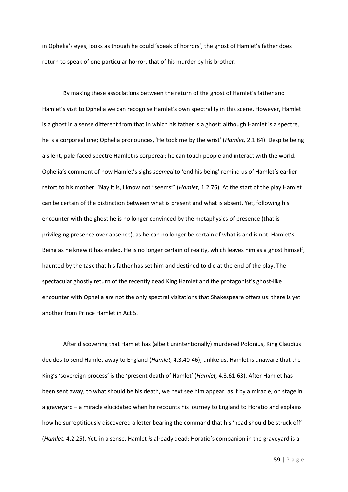in Ophelia's eyes, looks as though he could 'speak of horrors', the ghost of Hamlet's father does return to speak of one particular horror, that of his murder by his brother.

By making these associations between the return of the ghost of Hamlet's father and Hamlet's visit to Ophelia we can recognise Hamlet's own spectrality in this scene. However, Hamlet is a ghost in a sense different from that in which his father is a ghost: although Hamlet is a spectre, he is a corporeal one; Ophelia pronounces, 'He took me by the wrist' (*Hamlet,* 2.1.84). Despite being a silent, pale-faced spectre Hamlet is corporeal; he can touch people and interact with the world. Ophelia's comment of how Hamlet's sighs *seemed* to 'end his being' remind us of Hamlet's earlier retort to his mother: 'Nay it is, I know not "seems"' (*Hamlet,* 1.2.76). At the start of the play Hamlet can be certain of the distinction between what is present and what is absent. Yet, following his encounter with the ghost he is no longer convinced by the metaphysics of presence (that is privileging presence over absence), as he can no longer be certain of what is and is not. Hamlet's Being as he knew it has ended. He is no longer certain of reality, which leaves him as a ghost himself, haunted by the task that his father has set him and destined to die at the end of the play. The spectacular ghostly return of the recently dead King Hamlet and the protagonist's ghost-like encounter with Ophelia are not the only spectral visitations that Shakespeare offers us: there is yet another from Prince Hamlet in Act 5.

After discovering that Hamlet has (albeit unintentionally) murdered Polonius, King Claudius decides to send Hamlet away to England (*Hamlet,* 4.3.40-46); unlike us, Hamlet is unaware that the King's 'sovereign process' is the 'present death of Hamlet' (*Hamlet,* 4.3.61-63). After Hamlet has been sent away, to what should be his death, we next see him appear, as if by a miracle, on stage in a graveyard – a miracle elucidated when he recounts his journey to England to Horatio and explains how he surreptitiously discovered a letter bearing the command that his 'head should be struck off' (*Hamlet,* 4.2.25). Yet, in a sense, Hamlet *is* already dead; Horatio's companion in the graveyard is a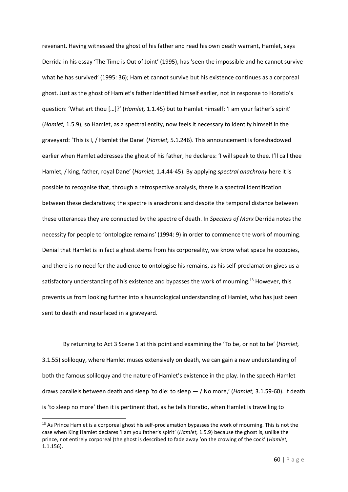revenant. Having witnessed the ghost of his father and read his own death warrant, Hamlet, says Derrida in his essay 'The Time is Out of Joint' (1995), has 'seen the impossible and he cannot survive what he has survived' (1995: 36); Hamlet cannot survive but his existence continues as a corporeal ghost. Just as the ghost of Hamlet's father identified himself earlier, not in response to Horatio's question: 'What art thou […]?' (*Hamlet,* 1.1.45) but to Hamlet himself: 'I am your father's spirit' (*Hamlet,* 1.5.9), so Hamlet, as a spectral entity, now feels it necessary to identify himself in the graveyard: 'This is I, / Hamlet the Dane' (*Hamlet,* 5.1.246). This announcement is foreshadowed earlier when Hamlet addresses the ghost of his father, he declares: 'I will speak to thee. I'll call thee Hamlet, / king, father, royal Dane' (*Hamlet,* 1.4.44-45). By applying *spectral anachrony* here it is possible to recognise that, through a retrospective analysis, there is a spectral identification between these declaratives; the spectre is anachronic and despite the temporal distance between these utterances they are connected by the spectre of death. In *Specters of Marx* Derrida notes the necessity for people to 'ontologize remains' (1994: 9) in order to commence the work of mourning. Denial that Hamlet is in fact a ghost stems from his corporeality, we know what space he occupies, and there is no need for the audience to ontologise his remains, as his self-proclamation gives us a satisfactory understanding of his existence and bypasses the work of mourning.<sup>13</sup> However, this prevents us from looking further into a hauntological understanding of Hamlet, who has just been sent to death and resurfaced in a graveyard.

By returning to Act 3 Scene 1 at this point and examining the 'To be, or not to be' (*Hamlet,*  3.1.55) soliloquy, where Hamlet muses extensively on death, we can gain a new understanding of both the famous soliloquy and the nature of Hamlet's existence in the play. In the speech Hamlet draws parallels between death and sleep 'to die: to sleep — / No more,' (*Hamlet,* 3.1.59-60). If death is 'to sleep no more' then it is pertinent that, as he tells Horatio, when Hamlet is travelling to

<sup>&</sup>lt;sup>13</sup> As Prince Hamlet is a corporeal ghost his self-proclamation bypasses the work of mourning. This is not the case when King Hamlet declares 'I am you father's spirit' (*Hamlet,* 1.5.9) because the ghost is, unlike the prince, not entirely corporeal (the ghost is described to fade away 'on the crowing of the cock' (*Hamlet,*  1.1.156).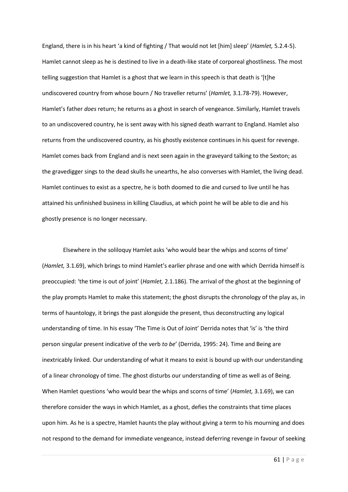England, there is in his heart 'a kind of fighting / That would not let [him] sleep' (*Hamlet,* 5.2.4-5). Hamlet cannot sleep as he is destined to live in a death-like state of corporeal ghostliness. The most telling suggestion that Hamlet is a ghost that we learn in this speech is that death is '[t]he undiscovered country from whose bourn / No traveller returns' (*Hamlet,* 3.1.78-79). However, Hamlet's father *does* return; he returns as a ghost in search of vengeance. Similarly, Hamlet travels to an undiscovered country, he is sent away with his signed death warrant to England. Hamlet also returns from the undiscovered country, as his ghostly existence continues in his quest for revenge. Hamlet comes back from England and is next seen again in the graveyard talking to the Sexton; as the gravedigger sings to the dead skulls he unearths, he also converses with Hamlet, the living dead. Hamlet continues to exist as a spectre, he is both doomed to die and cursed to live until he has attained his unfinished business in killing Claudius, at which point he will be able to die and his ghostly presence is no longer necessary.

Elsewhere in the soliloquy Hamlet asks 'who would bear the whips and scorns of time' (*Hamlet,* 3.1.69), which brings to mind Hamlet's earlier phrase and one with which Derrida himself is preoccupied: 'the time is out of joint' (*Hamlet,* 2.1.186). The arrival of the ghost at the beginning of the play prompts Hamlet to make this statement; the ghost disrupts the chronology of the play as, in terms of hauntology, it brings the past alongside the present, thus deconstructing any logical understanding of time. In his essay 'The Time is Out of Joint' Derrida notes that 'is' is 'the third person singular present indicative of the verb *to be*' (Derrida, 1995: 24). Time and Being are inextricably linked. Our understanding of what it means to exist is bound up with our understanding of a linear chronology of time. The ghost disturbs our understanding of time as well as of Being. When Hamlet questions 'who would bear the whips and scorns of time' (*Hamlet,* 3.1.69), we can therefore consider the ways in which Hamlet, as a ghost, defies the constraints that time places upon him. As he is a spectre, Hamlet haunts the play without giving a term to his mourning and does not respond to the demand for immediate vengeance, instead deferring revenge in favour of seeking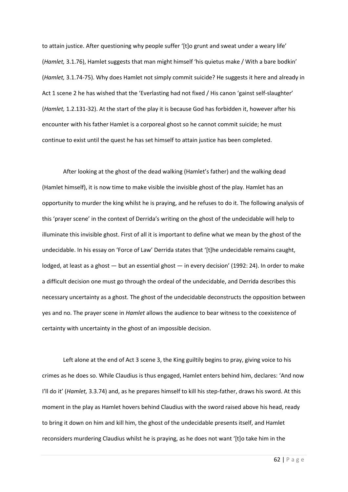to attain justice. After questioning why people suffer '[t]o grunt and sweat under a weary life' (*Hamlet,* 3.1.76), Hamlet suggests that man might himself 'his quietus make / With a bare bodkin' (*Hamlet,* 3.1.74-75). Why does Hamlet not simply commit suicide? He suggests it here and already in Act 1 scene 2 he has wished that the 'Everlasting had not fixed / His canon 'gainst self-slaughter' (*Hamlet,* 1.2.131-32). At the start of the play it is because God has forbidden it, however after his encounter with his father Hamlet is a corporeal ghost so he cannot commit suicide; he must continue to exist until the quest he has set himself to attain justice has been completed.

After looking at the ghost of the dead walking (Hamlet's father) and the walking dead (Hamlet himself), it is now time to make visible the invisible ghost of the play. Hamlet has an opportunity to murder the king whilst he is praying, and he refuses to do it. The following analysis of this 'prayer scene' in the context of Derrida's writing on the ghost of the undecidable will help to illuminate this invisible ghost. First of all it is important to define what we mean by the ghost of the undecidable. In his essay on 'Force of Law' Derrida states that '[t]he undecidable remains caught, lodged, at least as a ghost — but an essential ghost — in every decision' (1992: 24). In order to make a difficult decision one must go through the ordeal of the undecidable, and Derrida describes this necessary uncertainty as a ghost. The ghost of the undecidable deconstructs the opposition between yes and no. The prayer scene in *Hamlet* allows the audience to bear witness to the coexistence of certainty with uncertainty in the ghost of an impossible decision.

Left alone at the end of Act 3 scene 3, the King guiltily begins to pray, giving voice to his crimes as he does so. While Claudius is thus engaged, Hamlet enters behind him, declares: 'And now I'll do it' (*Hamlet,* 3.3.74) and, as he prepares himself to kill his step-father, draws his sword. At this moment in the play as Hamlet hovers behind Claudius with the sword raised above his head, ready to bring it down on him and kill him, the ghost of the undecidable presents itself, and Hamlet reconsiders murdering Claudius whilst he is praying, as he does not want '[t]o take him in the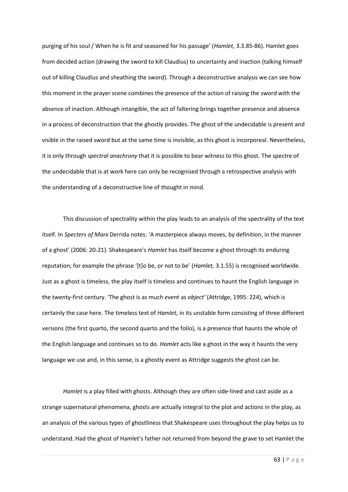purging of his soul / When he is fit and seasoned for his passage' (*Hamlet,* 3.3.85-86). Hamlet goes from decided action (drawing the sword to kill Claudius) to uncertainty and inaction (talking himself out of killing Claudius and sheathing the sword). Through a deconstructive analysis we can see how this moment in the prayer scene combines the presence of the action of raising the sword with the absence of inaction. Although intangible, the act of faltering brings together presence and absence in a process of deconstruction that the ghostly provides. The ghost of the undecidable is present and visible in the raised sword but at the same time is invisible, as this ghost is incorporeal. Nevertheless, it is only through *spectral anachrony* that it is possible to bear witness to this ghost. The spectre of the undecidable that is at work here can only be recognised through a retrospective analysis with the understanding of a deconstructive line of thought in mind.

This discussion of spectrality within the play leads to an analysis of the spectrality of the text itself*.* In *Specters of Marx* Derrida notes: 'A masterpiece always moves, by definition, in the manner of a ghost' (2006: 20-21). Shakespeare's *Hamlet* has itself become a ghost through its enduring reputation; for example the phrase '[t]o be, or not to be' (*Hamlet,* 3.1.55) is recognised worldwide. Just as a ghost is timeless, the play itself is timeless and continues to haunt the English language in the twenty-first century. 'The ghost is as much *event* as *object'* (Attridge, 1995: 224), which is certainly the case here. The timeless text of *Hamlet,* in its unstable form consisting of three different versions (the first quarto, the second quarto and the folio), is a presence that haunts the whole of the English language and continues so to do. *Hamlet* acts like a ghost in the way it haunts the very language we use and, in this sense, is a ghostly event as Attridge suggests the ghost can be.

*Hamlet* is a play filled with ghosts. Although they are often side-lined and cast aside as a strange supernatural phenomena, ghosts are actually integral to the plot and actions in the play, as an analysis of the various types of ghostliness that Shakespeare uses throughout the play helps us to understand. Had the ghost of Hamlet's father not returned from beyond the grave to set Hamlet the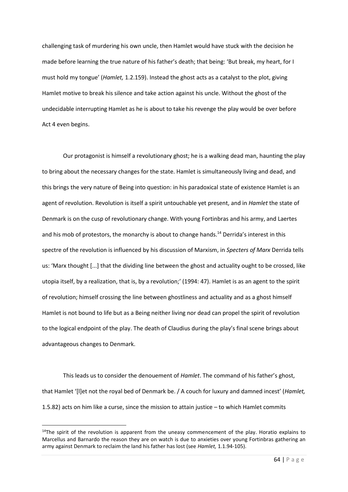challenging task of murdering his own uncle, then Hamlet would have stuck with the decision he made before learning the true nature of his father's death; that being: 'But break, my heart, for I must hold my tongue' (*Hamlet,* 1.2.159). Instead the ghost acts as a catalyst to the plot, giving Hamlet motive to break his silence and take action against his uncle. Without the ghost of the undecidable interrupting Hamlet as he is about to take his revenge the play would be over before Act 4 even begins.

Our protagonist is himself a revolutionary ghost; he is a walking dead man, haunting the play to bring about the necessary changes for the state. Hamlet is simultaneously living and dead, and this brings the very nature of Being into question: in his paradoxical state of existence Hamlet is an agent of revolution. Revolution is itself a spirit untouchable yet present, and in *Hamlet* the state of Denmark is on the cusp of revolutionary change. With young Fortinbras and his army, and Laertes and his mob of protestors, the monarchy is about to change hands.<sup>14</sup> Derrida's interest in this spectre of the revolution is influenced by his discussion of Marxism, in *Specters of Marx* Derrida tells us: 'Marx thought [...] that the dividing line between the ghost and actuality ought to be crossed, like utopia itself, by a realization, that is, by a revolution;' (1994: 47). Hamlet is as an agent to the spirit of revolution; himself crossing the line between ghostliness and actuality and as a ghost himself Hamlet is not bound to life but as a Being neither living nor dead can propel the spirit of revolution to the logical endpoint of the play. The death of Claudius during the play's final scene brings about advantageous changes to Denmark.

This leads us to consider the denouement of *Hamlet*. The command of his father's ghost, that Hamlet '[l]et not the royal bed of Denmark be. / A couch for luxury and damned incest' (*Hamlet,*  1.5.82) acts on him like a curse, since the mission to attain justice – to which Hamlet commits

<sup>&</sup>lt;sup>14</sup>The spirit of the revolution is apparent from the uneasy commencement of the play. Horatio explains to Marcellus and Barnardo the reason they are on watch is due to anxieties over young Fortinbras gathering an army against Denmark to reclaim the land his father has lost (see *Hamlet,* 1.1.94-105).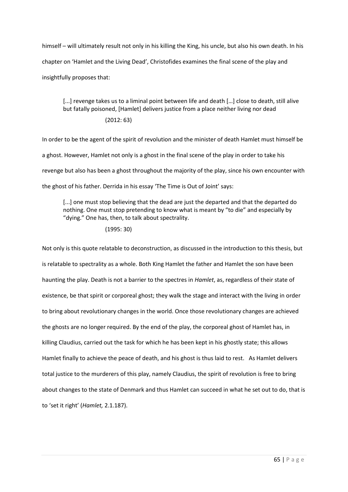himself – will ultimately result not only in his killing the King, his uncle, but also his own death. In his chapter on 'Hamlet and the Living Dead', Christofides examines the final scene of the play and insightfully proposes that:

[...] revenge takes us to a liminal point between life and death [...] close to death, still alive but fatally poisoned, [Hamlet] delivers justice from a place neither living nor dead

# (2012: 63)

In order to be the agent of the spirit of revolution and the minister of death Hamlet must himself be a ghost. However, Hamlet not only is a ghost in the final scene of the play in order to take his revenge but also has been a ghost throughout the majority of the play, since his own encounter with the ghost of his father. Derrida in his essay 'The Time is Out of Joint' says:

[...] one must stop believing that the dead are just the departed and that the departed do nothing. One must stop pretending to know what is meant by "to die" and especially by "dying." One has, then, to talk about spectrality.

## (1995: 30)

Not only is this quote relatable to deconstruction, as discussed in the introduction to this thesis, but is relatable to spectrality as a whole. Both King Hamlet the father and Hamlet the son have been haunting the play. Death is not a barrier to the spectres in *Hamlet*, as, regardless of their state of existence, be that spirit or corporeal ghost; they walk the stage and interact with the living in order to bring about revolutionary changes in the world. Once those revolutionary changes are achieved the ghosts are no longer required. By the end of the play, the corporeal ghost of Hamlet has, in killing Claudius, carried out the task for which he has been kept in his ghostly state; this allows Hamlet finally to achieve the peace of death, and his ghost is thus laid to rest. As Hamlet delivers total justice to the murderers of this play, namely Claudius, the spirit of revolution is free to bring about changes to the state of Denmark and thus Hamlet can succeed in what he set out to do, that is to 'set it right' (*Hamlet,* 2.1.187).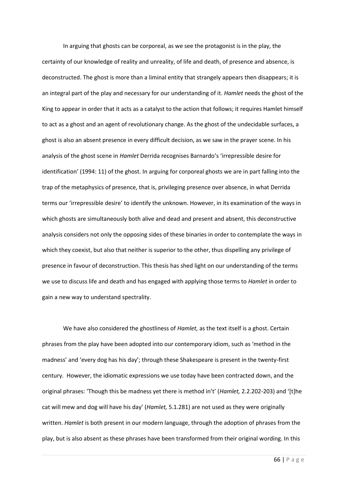In arguing that ghosts can be corporeal, as we see the protagonist is in the play, the certainty of our knowledge of reality and unreality, of life and death, of presence and absence, is deconstructed. The ghost is more than a liminal entity that strangely appears then disappears; it is an integral part of the play and necessary for our understanding of it. *Hamlet* needs the ghost of the King to appear in order that it acts as a catalyst to the action that follows; it requires Hamlet himself to act as a ghost and an agent of revolutionary change. As the ghost of the undecidable surfaces, a ghost is also an absent presence in every difficult decision, as we saw in the prayer scene. In his analysis of the ghost scene in *Hamlet* Derrida recognises Barnardo's 'irrepressible desire for identification' (1994: 11) of the ghost. In arguing for corporeal ghosts we are in part falling into the trap of the metaphysics of presence, that is, privileging presence over absence, in what Derrida terms our 'irrepressible desire' to identify the unknown. However, in its examination of the ways in which ghosts are simultaneously both alive and dead and present and absent, this deconstructive analysis considers not only the opposing sides of these binaries in order to contemplate the ways in which they coexist, but also that neither is superior to the other, thus dispelling any privilege of presence in favour of deconstruction. This thesis has shed light on our understanding of the terms we use to discuss life and death and has engaged with applying those terms to *Hamlet* in order to gain a new way to understand spectrality.

We have also considered the ghostliness of *Hamlet,* as the text itself is a ghost. Certain phrases from the play have been adopted into our contemporary idiom, such as 'method in the madness' and 'every dog has his day'; through these Shakespeare is present in the twenty-first century. However, the idiomatic expressions we use today have been contracted down, and the original phrases: 'Though this be madness yet there is method in't' (*Hamlet,* 2.2.202-203) and '[t]he cat will mew and dog will have his day' (*Hamlet,* 5.1.281) are not used as they were originally written. *Hamlet* is both present in our modern language, through the adoption of phrases from the play, but is also absent as these phrases have been transformed from their original wording. In this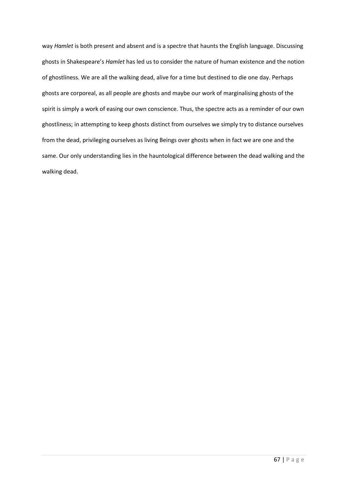way *Hamlet* is both present and absent and is a spectre that haunts the English language. Discussing ghosts in Shakespeare's *Hamlet* has led us to consider the nature of human existence and the notion of ghostliness. We are all the walking dead, alive for a time but destined to die one day. Perhaps ghosts are corporeal, as all people are ghosts and maybe our work of marginalising ghosts of the spirit is simply a work of easing our own conscience. Thus, the spectre acts as a reminder of our own ghostliness; in attempting to keep ghosts distinct from ourselves we simply try to distance ourselves from the dead, privileging ourselves as living Beings over ghosts when in fact we are one and the same. Our only understanding lies in the hauntological difference between the dead walking and the walking dead.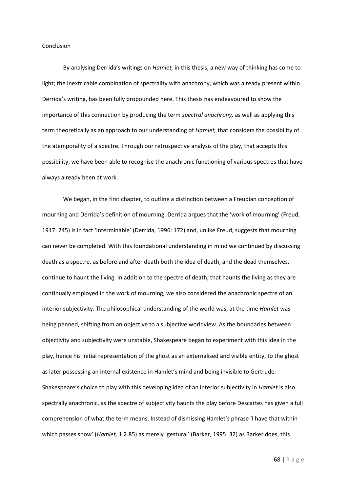## Conclusion

By analysing Derrida's writings on *Hamlet,* in this thesis, a new way of thinking has come to light; the inextricable combination of spectrality with anachrony, which was already present within Derrida's writing, has been fully propounded here. This thesis has endeavoured to show the importance of this connection by producing the term *spectral anachrony,* as well as applying this term theoretically as an approach to our understanding of *Hamlet,* that considers the possibility of the atemporality of a spectre. Through our retrospective analysis of the play, that accepts this possibility, we have been able to recognise the anachronic functioning of various spectres that have always already been at work.

We began, in the first chapter, to outline a distinction between a Freudian conception of mourning and Derrida's definition of mourning. Derrida argues that the 'work of mourning' (Freud, 1917: 245) is in fact 'interminable' (Derrida, 1996: 172) and, unlike Freud, suggests that mourning can never be completed. With this foundational understanding in mind we continued by discussing death as a spectre, as before and after death both the idea of death, and the dead themselves, continue to haunt the living. In addition to the spectre of death, that haunts the living as they are continually employed in the work of mourning, we also considered the anachronic spectre of an interior subjectivity. The philosophical understanding of the world was, at the time *Hamlet* was being penned, shifting from an objective to a subjective worldview. As the boundaries between objectivity and subjectivity were unstable, Shakespeare began to experiment with this idea in the play, hence his initial representation of the ghost as an externalised and visible entity, to the ghost as later possessing an internal existence in Hamlet's mind and being invisible to Gertrude. Shakespeare's choice to play with this developing idea of an interior subjectivity in *Hamlet* is also spectrally anachronic, as the spectre of subjectivity haunts the play before Descartes has given a full comprehension of what the term means. Instead of dismissing Hamlet's phrase 'I have that within which passes show' (*Hamlet,* 1.2.85) as merely 'gestural' (Barker, 1995: 32) as Barker does, this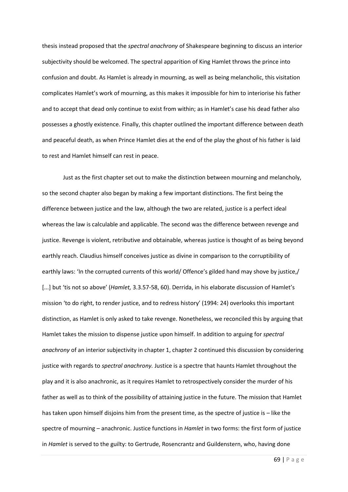thesis instead proposed that the *spectral anachrony* of Shakespeare beginning to discuss an interior subjectivity should be welcomed. The spectral apparition of King Hamlet throws the prince into confusion and doubt. As Hamlet is already in mourning, as well as being melancholic, this visitation complicates Hamlet's work of mourning, as this makes it impossible for him to interiorise his father and to accept that dead only continue to exist from within; as in Hamlet's case his dead father also possesses a ghostly existence. Finally, this chapter outlined the important difference between death and peaceful death, as when Prince Hamlet dies at the end of the play the ghost of his father is laid to rest and Hamlet himself can rest in peace.

Just as the first chapter set out to make the distinction between mourning and melancholy, so the second chapter also began by making a few important distinctions. The first being the difference between justice and the law, although the two are related, justice is a perfect ideal whereas the law is calculable and applicable. The second was the difference between revenge and justice. Revenge is violent, retributive and obtainable, whereas justice is thought of as being beyond earthly reach. Claudius himself conceives justice as divine in comparison to the corruptibility of earthly laws: 'In the corrupted currents of this world/ Offence's gilded hand may shove by justice,/ [...] but 'tis not so above' (*Hamlet,* 3.3.57-58, 60). Derrida, in his elaborate discussion of Hamlet's mission 'to do right, to render justice, and to redress history' (1994: 24) overlooks this important distinction, as Hamlet is only asked to take revenge. Nonetheless, we reconciled this by arguing that Hamlet takes the mission to dispense justice upon himself. In addition to arguing for *spectral anachrony* of an interior subjectivity in chapter 1, chapter 2 continued this discussion by considering justice with regards to *spectral anachrony.* Justice is a spectre that haunts Hamlet throughout the play and it is also anachronic, as it requires Hamlet to retrospectively consider the murder of his father as well as to think of the possibility of attaining justice in the future. The mission that Hamlet has taken upon himself disjoins him from the present time, as the spectre of justice is – like the spectre of mourning – anachronic. Justice functions in *Hamlet* in two forms: the first form of justice in *Hamlet* is served to the guilty: to Gertrude, Rosencrantz and Guildenstern, who, having done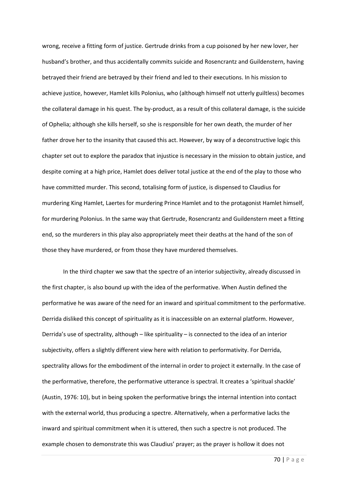wrong, receive a fitting form of justice. Gertrude drinks from a cup poisoned by her new lover, her husband's brother, and thus accidentally commits suicide and Rosencrantz and Guildenstern, having betrayed their friend are betrayed by their friend and led to their executions. In his mission to achieve justice, however, Hamlet kills Polonius, who (although himself not utterly guiltless) becomes the collateral damage in his quest. The by-product, as a result of this collateral damage, is the suicide of Ophelia; although she kills herself, so she is responsible for her own death, the murder of her father drove her to the insanity that caused this act. However, by way of a deconstructive logic this chapter set out to explore the paradox that injustice is necessary in the mission to obtain justice, and despite coming at a high price, Hamlet does deliver total justice at the end of the play to those who have committed murder. This second, totalising form of justice, is dispensed to Claudius for murdering King Hamlet, Laertes for murdering Prince Hamlet and to the protagonist Hamlet himself, for murdering Polonius. In the same way that Gertrude, Rosencrantz and Guildenstern meet a fitting end, so the murderers in this play also appropriately meet their deaths at the hand of the son of those they have murdered, or from those they have murdered themselves.

In the third chapter we saw that the spectre of an interior subjectivity, already discussed in the first chapter, is also bound up with the idea of the performative. When Austin defined the performative he was aware of the need for an inward and spiritual commitment to the performative. Derrida disliked this concept of spirituality as it is inaccessible on an external platform. However, Derrida's use of spectrality, although – like spirituality – is connected to the idea of an interior subjectivity, offers a slightly different view here with relation to performativity. For Derrida, spectrality allows for the embodiment of the internal in order to project it externally. In the case of the performative, therefore, the performative utterance is spectral. It creates a 'spiritual shackle' (Austin, 1976: 10), but in being spoken the performative brings the internal intention into contact with the external world, thus producing a spectre. Alternatively, when a performative lacks the inward and spiritual commitment when it is uttered, then such a spectre is not produced. The example chosen to demonstrate this was Claudius' prayer; as the prayer is hollow it does not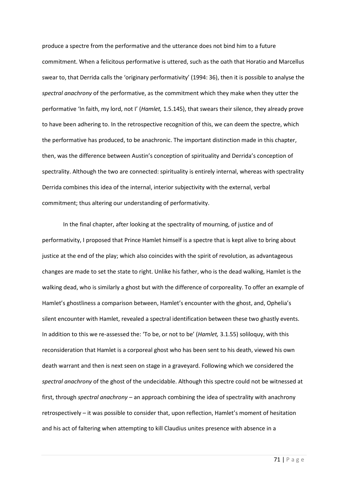produce a spectre from the performative and the utterance does not bind him to a future commitment. When a felicitous performative is uttered, such as the oath that Horatio and Marcellus swear to, that Derrida calls the 'originary performativity' (1994: 36), then it is possible to analyse the *spectral anachrony* of the performative, as the commitment which they make when they utter the performative 'In faith, my lord, not I' (*Hamlet,* 1.5.145), that swears their silence, they already prove to have been adhering to. In the retrospective recognition of this, we can deem the spectre, which the performative has produced, to be anachronic. The important distinction made in this chapter, then, was the difference between Austin's conception of spirituality and Derrida's conception of spectrality. Although the two are connected: spirituality is entirely internal, whereas with spectrality Derrida combines this idea of the internal, interior subjectivity with the external, verbal commitment; thus altering our understanding of performativity.

In the final chapter, after looking at the spectrality of mourning, of justice and of performativity, I proposed that Prince Hamlet himself is a spectre that is kept alive to bring about justice at the end of the play; which also coincides with the spirit of revolution, as advantageous changes are made to set the state to right. Unlike his father, who is the dead walking, Hamlet is the walking dead, who is similarly a ghost but with the difference of corporeality. To offer an example of Hamlet's ghostliness a comparison between, Hamlet's encounter with the ghost, and, Ophelia's silent encounter with Hamlet, revealed a spectral identification between these two ghastly events. In addition to this we re-assessed the: 'To be, or not to be' (*Hamlet,* 3.1.55) soliloquy, with this reconsideration that Hamlet is a corporeal ghost who has been sent to his death, viewed his own death warrant and then is next seen on stage in a graveyard. Following which we considered the *spectral anachrony* of the ghost of the undecidable. Although this spectre could not be witnessed at first, through *spectral anachrony –* an approach combining the idea of spectrality with anachrony retrospectively – it was possible to consider that, upon reflection, Hamlet's moment of hesitation and his act of faltering when attempting to kill Claudius unites presence with absence in a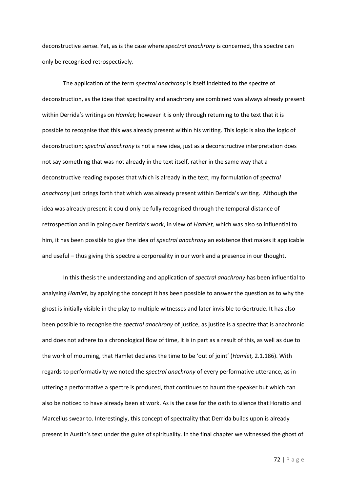deconstructive sense. Yet, as is the case where *spectral anachrony* is concerned, this spectre can only be recognised retrospectively.

The application of the term *spectral anachrony* is itself indebted to the spectre of deconstruction, as the idea that spectrality and anachrony are combined was always already present within Derrida's writings on *Hamlet;* however it is only through returning to the text that it is possible to recognise that this was already present within his writing. This logic is also the logic of deconstruction; *spectral anachrony* is not a new idea, just as a deconstructive interpretation does not say something that was not already in the text itself, rather in the same way that a deconstructive reading exposes that which is already in the text, my formulation of *spectral anachrony* just brings forth that which was already present within Derrida's writing. Although the idea was already present it could only be fully recognised through the temporal distance of retrospection and in going over Derrida's work, in view of *Hamlet,* which was also so influential to him, it has been possible to give the idea of *spectral anachrony* an existence that makes it applicable and useful – thus giving this spectre a corporeality in our work and a presence in our thought.

In this thesis the understanding and application of *spectral anachrony* has been influential to analysing *Hamlet,* by applying the concept it has been possible to answer the question as to why the ghost is initially visible in the play to multiple witnesses and later invisible to Gertrude. It has also been possible to recognise the *spectral anachrony* of justice, as justice is a spectre that is anachronic and does not adhere to a chronological flow of time, it is in part as a result of this, as well as due to the work of mourning, that Hamlet declares the time to be 'out of joint' (*Hamlet,* 2.1.186). With regards to performativity we noted the *spectral anachrony* of every performative utterance, as in uttering a performative a spectre is produced, that continues to haunt the speaker but which can also be noticed to have already been at work. As is the case for the oath to silence that Horatio and Marcellus swear to. Interestingly, this concept of spectrality that Derrida builds upon is already present in Austin's text under the guise of spirituality. In the final chapter we witnessed the ghost of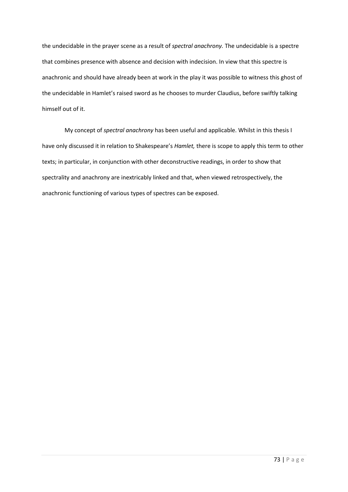the undecidable in the prayer scene as a result of *spectral anachrony.* The undecidable is a spectre that combines presence with absence and decision with indecision. In view that this spectre is anachronic and should have already been at work in the play it was possible to witness this ghost of the undecidable in Hamlet's raised sword as he chooses to murder Claudius, before swiftly talking himself out of it.

My concept of *spectral anachrony* has been useful and applicable. Whilst in this thesis I have only discussed it in relation to Shakespeare's *Hamlet,* there is scope to apply this term to other texts; in particular, in conjunction with other deconstructive readings, in order to show that spectrality and anachrony are inextricably linked and that, when viewed retrospectively, the anachronic functioning of various types of spectres can be exposed.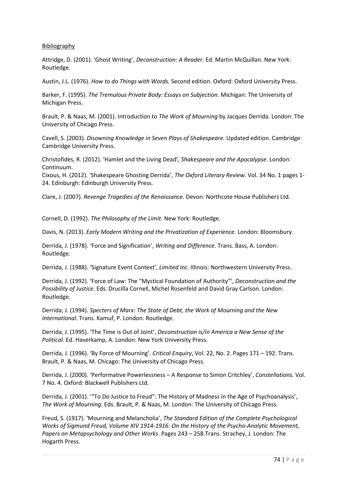## Bibliography

Attridge, D. (2001). 'Ghost Writing', *Deconstruction: A Reader.* Ed. Martin McQuillan. New York: Routledge.

Austin, J.L. (1976). *How to do Things with Words.* Second edition. Oxford: Oxford University Press.

Barker, F. (1995). *The Tremulous Private Body: Essays on Subjection.* Michigan: The University of Michigan Press.

Brault, P. & Naas, M. (2001). Introduction to *The Work of Mourning* by Jacques Derrida. London: The University of Chicago Press.

Cavell, S. (2003). *Disowning Knowledge in Seven Plays of Shakespeare.* Updated edition. Cambridge: Cambridge University Press.

Christofides, R. (2012). 'Hamlet and the Living Dead', *Shakespeare and the Apocalypse*. London: Continuum.

Cixous, H. (2012). 'Shakespeare Ghosting Derrida', *The Oxford Literary Review.* Vol. 34 No. 1 pages 1- 24. Edinburgh: Edinburgh University Press.

Clare, J. (2007). *Revenge Tragedies of the Renaissance.* Devon: Northcote House Publishers Ltd.

Cornell, D. (1992). *The Philosophy of the Limit.* New York: Routledge.

Davis, N. (2013). *Early Modern Writing and the Privatization of Experience.* London: Bloomsbury.

Derrida, J. (1978). 'Force and Signification', *Writing and Difference*. Trans. Bass, A. London: Routledge.

Derrida, J. (1988). 'Signature Event Context', *Limited Inc.* Illinois: Northwestern University Press.

Derrida, J. (1992). 'Force of Law: The "Mystical Foundation of Authority"', *Deconstruction and the Possibility of Justice.* Eds. Drucilla Cornell, Michel Rosenfeld and David Gray Carlson. London: Routledge.

Derrida, J. (1994). *Specters of Marx: The State of Debt, the Work of Mourning and the New International*. Trans. Kamuf, P. London: Routledge.

Derrida, J. (1995). 'The Time is Out of Joint', *Deconstruction is/in America a New Sense of the Political*. Ed. Haverkamp, A. London: New York University Press.

Derrida, J. (1996). 'By Force of Mourning'. *Critical Enquiry*, Vol. 22, No. 2. Pages 171 – 192. Trans. Brault, P. & Naas, M. Chicago: The University of Chicago Press.

Derrida, J. (2000). 'Performative Powerlessness – A Response to Simon Critchley', *Constellations.* Vol. 7 No. 4. Oxford: Blackwell Publishers Ltd.

Derrida, J. (2001). '"To Do Justice to Freud": The History of Madness in the Age of Psychoanalysis', *The Work of Mourning*. Eds. Brault, P. & Naas, M. London: The University of Chicago Press.

Freud, S. (1917). 'Mourning and Melancholia', *The Standard Edition of the Complete Psychological Works of Sigmund Freud, Volume XIV 1914-1916: On the History of the Psycho-Analytic Movement, Papers on Metapsychology and Other Works*. Pages 243 – 258.Trans. Strachey, J. London: The Hogarth Press.